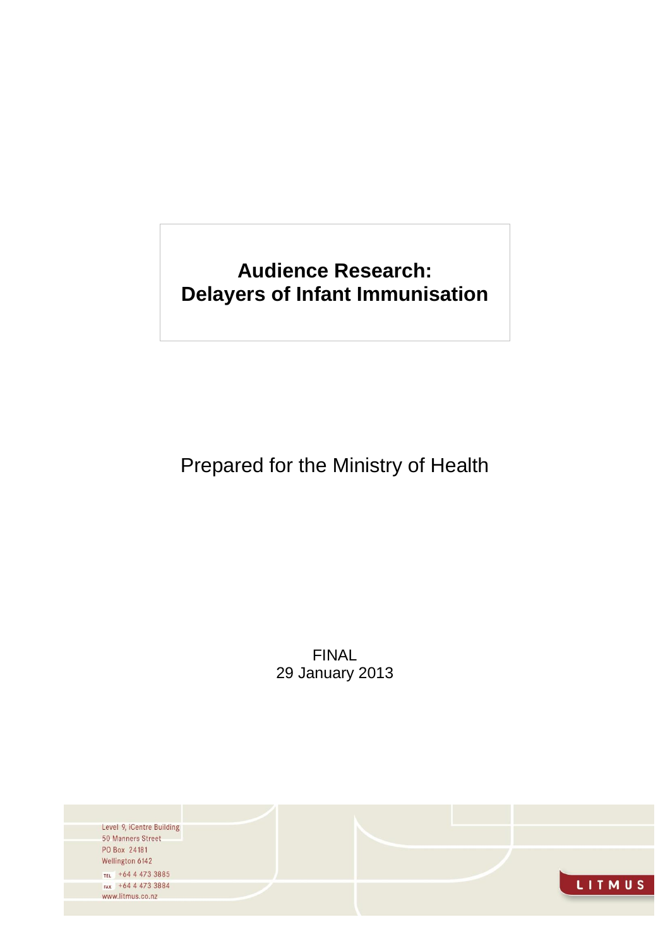# **Audience Research: Delayers of Infant Immunisation**

# Prepared for the Ministry of Health

FINAL 29 January 2013

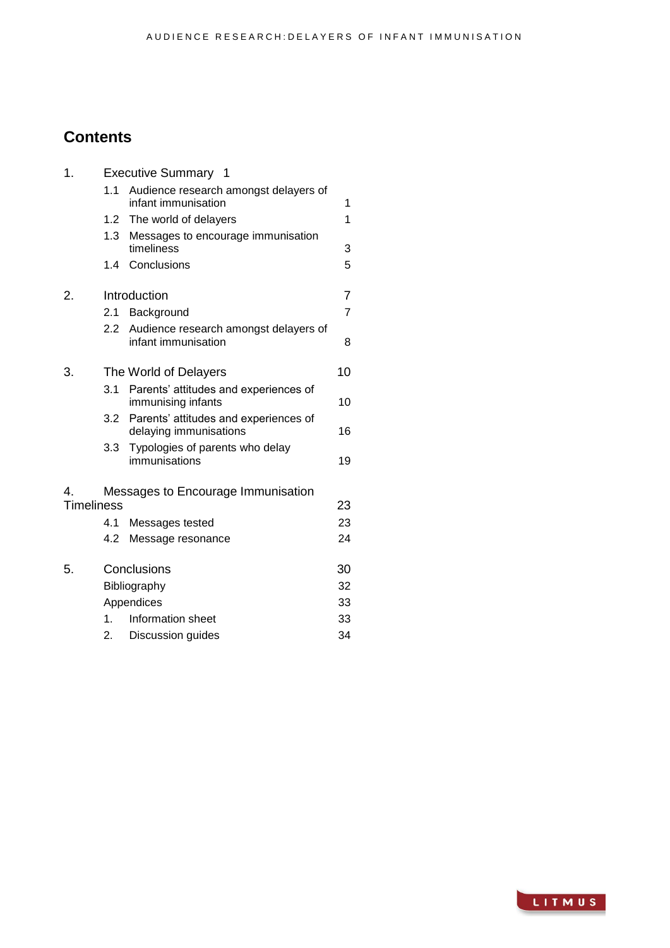# **Contents**

| 1.                | <b>Executive Summary 1</b> |                                                                 |                |  |
|-------------------|----------------------------|-----------------------------------------------------------------|----------------|--|
|                   | 1.1                        | Audience research amongst delayers of<br>infant immunisation    | 1              |  |
|                   | 1.2                        | The world of delayers                                           | 1              |  |
|                   | 1.3                        | Messages to encourage immunisation<br>timeliness                | 3              |  |
|                   | 1.4                        | Conclusions                                                     | 5              |  |
| 2.                |                            | Introduction                                                    | $\overline{7}$ |  |
|                   | 2.1                        | Background                                                      | $\overline{7}$ |  |
|                   | 2.2                        | Audience research amongst delayers of<br>infant immunisation    | 8              |  |
| 3.                |                            | The World of Delayers                                           | 10             |  |
|                   | 3.1                        | Parents' attitudes and experiences of<br>immunising infants     | 10             |  |
|                   | 3.2                        | Parents' attitudes and experiences of<br>delaying immunisations | 16             |  |
|                   | 3.3                        | Typologies of parents who delay<br>immunisations                | 19             |  |
| $\overline{4}$    |                            | Messages to Encourage Immunisation                              |                |  |
| <b>Timeliness</b> |                            |                                                                 | 23             |  |
|                   | 4.1                        | Messages tested                                                 | 23             |  |
|                   | 4.2                        | Message resonance                                               | 24             |  |
| 5.                |                            | Conclusions                                                     | 30             |  |
|                   | Bibliography               |                                                                 | 32             |  |
|                   | Appendices                 |                                                                 |                |  |
|                   | 1.                         | Information sheet                                               | 33             |  |
|                   | 2.                         | Discussion guides                                               | 34             |  |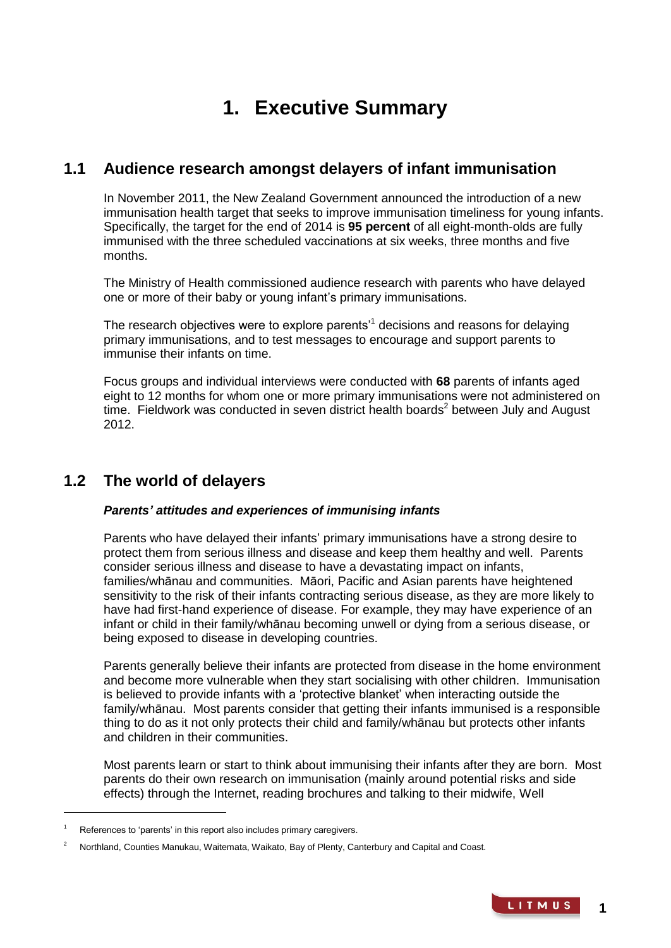# **1. Executive Summary**

## **1.1 Audience research amongst delayers of infant immunisation**

In November 2011, the New Zealand Government announced the introduction of a new immunisation health target that seeks to improve immunisation timeliness for young infants. Specifically, the target for the end of 2014 is **95 percent** of all eight-month-olds are fully immunised with the three scheduled vaccinations at six weeks, three months and five months.

The Ministry of Health commissioned audience research with parents who have delayed one or more of their baby or young infant's primary immunisations.

The research objectives were to explore parents'<sup>1</sup> decisions and reasons for delaying primary immunisations, and to test messages to encourage and support parents to immunise their infants on time.

Focus groups and individual interviews were conducted with **68** parents of infants aged eight to 12 months for whom one or more primary immunisations were not administered on time. Fieldwork was conducted in seven district health boards<sup>2</sup> between July and August 2012.

# **1.2 The world of delayers**

## *Parents' attitudes and experiences of immunising infants*

Parents who have delayed their infants' primary immunisations have a strong desire to protect them from serious illness and disease and keep them healthy and well. Parents consider serious illness and disease to have a devastating impact on infants, families/whānau and communities. Māori, Pacific and Asian parents have heightened sensitivity to the risk of their infants contracting serious disease, as they are more likely to have had first-hand experience of disease. For example, they may have experience of an infant or child in their family/whānau becoming unwell or dying from a serious disease, or being exposed to disease in developing countries.

Parents generally believe their infants are protected from disease in the home environment and become more vulnerable when they start socialising with other children. Immunisation is believed to provide infants with a 'protective blanket' when interacting outside the family/whānau. Most parents consider that getting their infants immunised is a responsible thing to do as it not only protects their child and family/whānau but protects other infants and children in their communities.

Most parents learn or start to think about immunising their infants after they are born. Most parents do their own research on immunisation (mainly around potential risks and side effects) through the Internet, reading brochures and talking to their midwife, Well

-

References to 'parents' in this report also includes primary caregivers.

<sup>2</sup> Northland, Counties Manukau, Waitemata, Waikato, Bay of Plenty, Canterbury and Capital and Coast.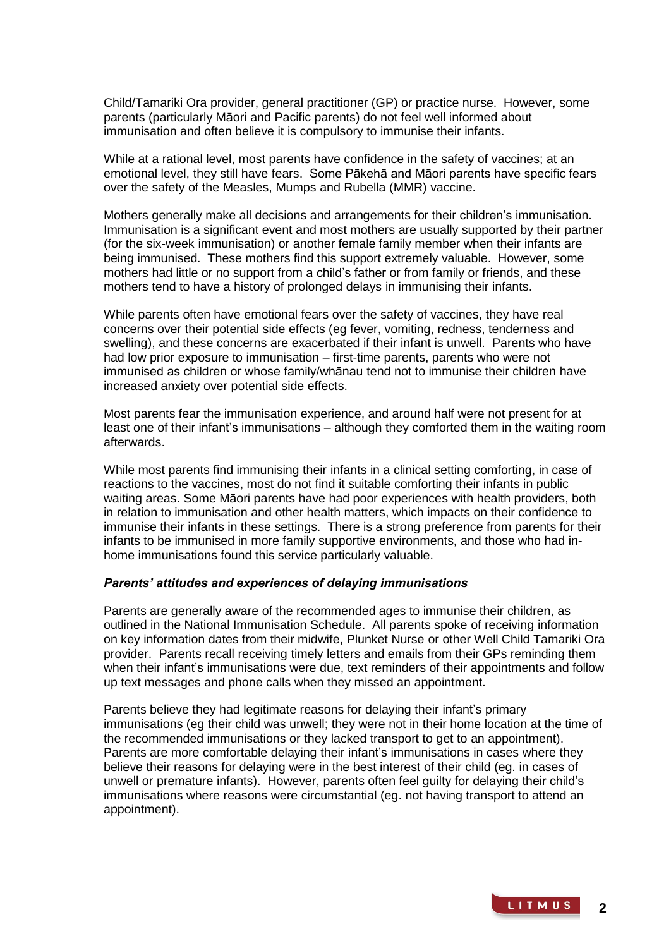Child/Tamariki Ora provider, general practitioner (GP) or practice nurse. However, some parents (particularly Māori and Pacific parents) do not feel well informed about immunisation and often believe it is compulsory to immunise their infants.

While at a rational level, most parents have confidence in the safety of vaccines; at an emotional level, they still have fears. Some Pākehā and Māori parents have specific fears over the safety of the Measles, Mumps and Rubella (MMR) vaccine.

Mothers generally make all decisions and arrangements for their children's immunisation. Immunisation is a significant event and most mothers are usually supported by their partner (for the six-week immunisation) or another female family member when their infants are being immunised. These mothers find this support extremely valuable. However, some mothers had little or no support from a child's father or from family or friends, and these mothers tend to have a history of prolonged delays in immunising their infants.

While parents often have emotional fears over the safety of vaccines, they have real concerns over their potential side effects (eg fever, vomiting, redness, tenderness and swelling), and these concerns are exacerbated if their infant is unwell. Parents who have had low prior exposure to immunisation – first-time parents, parents who were not immunised as children or whose family/whānau tend not to immunise their children have increased anxiety over potential side effects.

Most parents fear the immunisation experience, and around half were not present for at least one of their infant's immunisations – although they comforted them in the waiting room afterwards.

While most parents find immunising their infants in a clinical setting comforting, in case of reactions to the vaccines, most do not find it suitable comforting their infants in public waiting areas. Some Māori parents have had poor experiences with health providers, both in relation to immunisation and other health matters, which impacts on their confidence to immunise their infants in these settings. There is a strong preference from parents for their infants to be immunised in more family supportive environments, and those who had inhome immunisations found this service particularly valuable.

## *Parents' attitudes and experiences of delaying immunisations*

Parents are generally aware of the recommended ages to immunise their children, as outlined in the National Immunisation Schedule. All parents spoke of receiving information on key information dates from their midwife, Plunket Nurse or other Well Child Tamariki Ora provider. Parents recall receiving timely letters and emails from their GPs reminding them when their infant's immunisations were due, text reminders of their appointments and follow up text messages and phone calls when they missed an appointment.

Parents believe they had legitimate reasons for delaying their infant's primary immunisations (eg their child was unwell; they were not in their home location at the time of the recommended immunisations or they lacked transport to get to an appointment). Parents are more comfortable delaying their infant's immunisations in cases where they believe their reasons for delaying were in the best interest of their child (eg. in cases of unwell or premature infants). However, parents often feel guilty for delaying their child's immunisations where reasons were circumstantial (eg. not having transport to attend an appointment).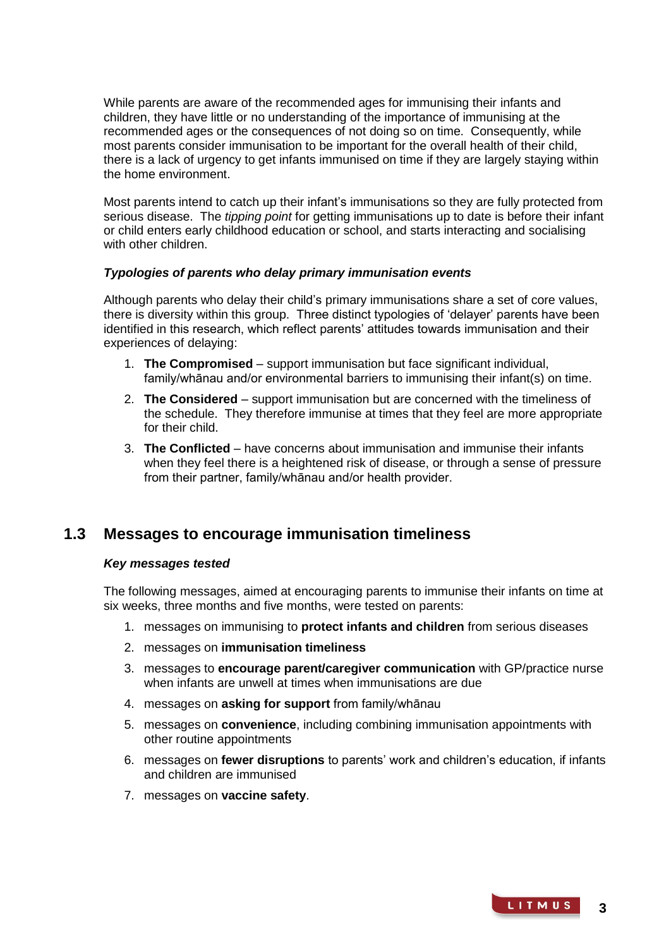While parents are aware of the recommended ages for immunising their infants and children, they have little or no understanding of the importance of immunising at the recommended ages or the consequences of not doing so on time. Consequently, while most parents consider immunisation to be important for the overall health of their child, there is a lack of urgency to get infants immunised on time if they are largely staying within the home environment.

Most parents intend to catch up their infant's immunisations so they are fully protected from serious disease. The *tipping point* for getting immunisations up to date is before their infant or child enters early childhood education or school, and starts interacting and socialising with other children.

## *Typologies of parents who delay primary immunisation events*

Although parents who delay their child's primary immunisations share a set of core values, there is diversity within this group. Three distinct typologies of 'delayer' parents have been identified in this research, which reflect parents' attitudes towards immunisation and their experiences of delaying:

- 1. **The Compromised** support immunisation but face significant individual, family/whānau and/or environmental barriers to immunising their infant(s) on time.
- 2. **The Considered** support immunisation but are concerned with the timeliness of the schedule. They therefore immunise at times that they feel are more appropriate for their child.
- 3. **The Conflicted** have concerns about immunisation and immunise their infants when they feel there is a heightened risk of disease, or through a sense of pressure from their partner, family/whānau and/or health provider.

## **1.3 Messages to encourage immunisation timeliness**

## *Key messages tested*

The following messages, aimed at encouraging parents to immunise their infants on time at six weeks, three months and five months, were tested on parents:

- 1. messages on immunising to **protect infants and children** from serious diseases
- 2. messages on **immunisation timeliness**
- 3. messages to **encourage parent/caregiver communication** with GP/practice nurse when infants are unwell at times when immunisations are due
- 4. messages on **asking for support** from family/whānau
- 5. messages on **convenience**, including combining immunisation appointments with other routine appointments
- 6. messages on **fewer disruptions** to parents' work and children's education, if infants and children are immunised
- 7. messages on **vaccine safety**.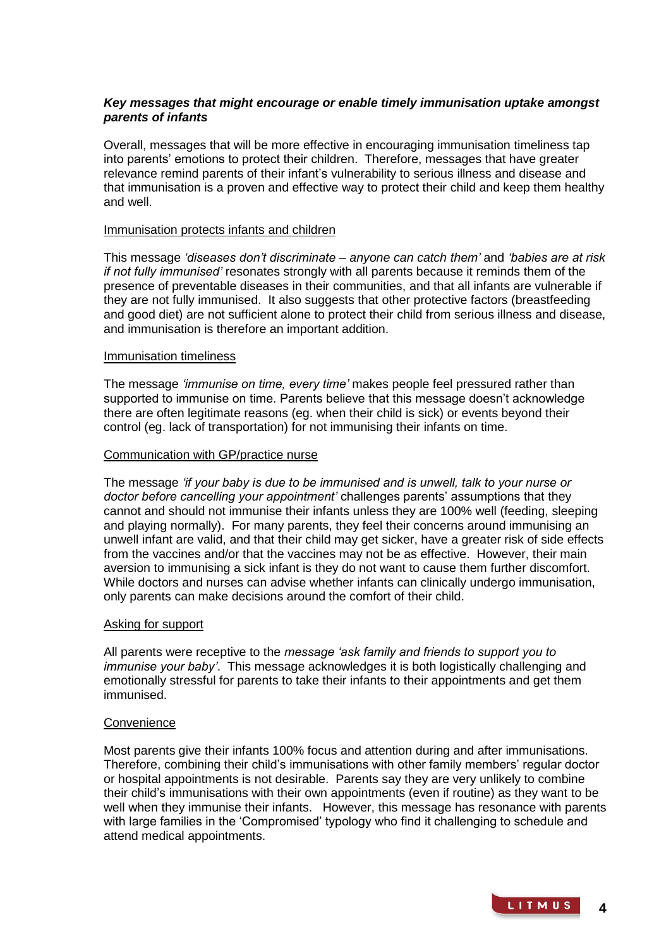## *Key messages that might encourage or enable timely immunisation uptake amongst parents of infants*

Overall, messages that will be more effective in encouraging immunisation timeliness tap into parents' emotions to protect their children. Therefore, messages that have greater relevance remind parents of their infant's vulnerability to serious illness and disease and that immunisation is a proven and effective way to protect their child and keep them healthy and well.

#### Immunisation protects infants and children

This message *'diseases don't discriminate – anyone can catch them'* and *'babies are at risk if not fully immunised'* resonates strongly with all parents because it reminds them of the presence of preventable diseases in their communities, and that all infants are vulnerable if they are not fully immunised. It also suggests that other protective factors (breastfeeding and good diet) are not sufficient alone to protect their child from serious illness and disease, and immunisation is therefore an important addition.

#### Immunisation timeliness

The message *'immunise on time, every time'* makes people feel pressured rather than supported to immunise on time. Parents believe that this message doesn't acknowledge there are often legitimate reasons (eg. when their child is sick) or events beyond their control (eg. lack of transportation) for not immunising their infants on time.

## Communication with GP/practice nurse

The message *'if your baby is due to be immunised and is unwell, talk to your nurse or doctor before cancelling your appointment'* challenges parents' assumptions that they cannot and should not immunise their infants unless they are 100% well (feeding, sleeping and playing normally). For many parents, they feel their concerns around immunising an unwell infant are valid, and that their child may get sicker, have a greater risk of side effects from the vaccines and/or that the vaccines may not be as effective. However, their main aversion to immunising a sick infant is they do not want to cause them further discomfort. While doctors and nurses can advise whether infants can clinically undergo immunisation, only parents can make decisions around the comfort of their child.

## Asking for support

All parents were receptive to the *message 'ask family and friends to support you to immunise your baby'*. This message acknowledges it is both logistically challenging and emotionally stressful for parents to take their infants to their appointments and get them immunised.

## **Convenience**

Most parents give their infants 100% focus and attention during and after immunisations. Therefore, combining their child's immunisations with other family members' regular doctor or hospital appointments is not desirable. Parents say they are very unlikely to combine their child's immunisations with their own appointments (even if routine) as they want to be well when they immunise their infants. However, this message has resonance with parents with large families in the 'Compromised' typology who find it challenging to schedule and attend medical appointments.

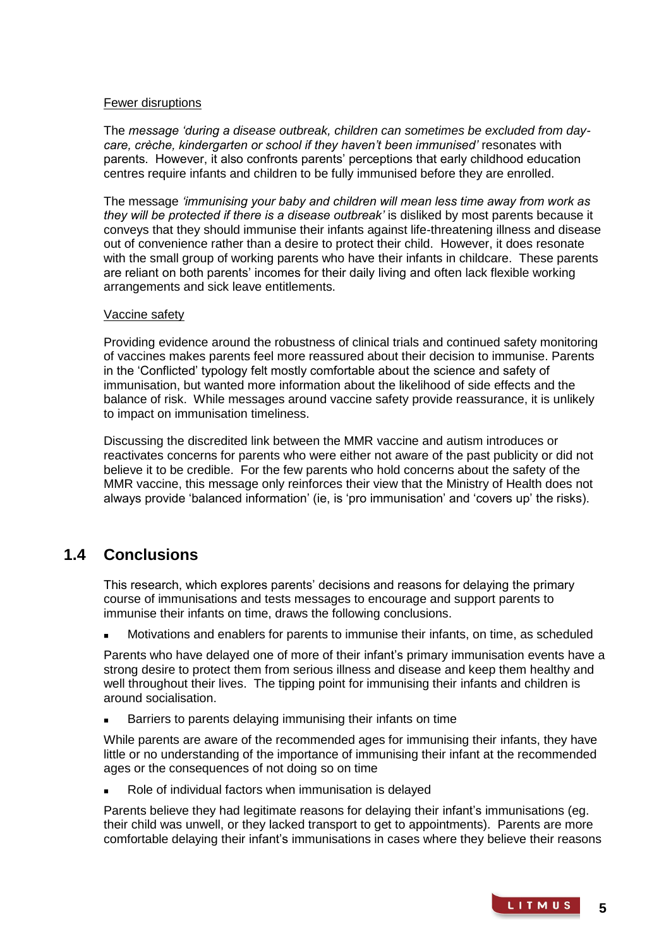## Fewer disruptions

The *message 'during a disease outbreak, children can sometimes be excluded from daycare, crèche, kindergarten or school if they haven't been immunised'* resonates with parents. However, it also confronts parents' perceptions that early childhood education centres require infants and children to be fully immunised before they are enrolled.

The message *'immunising your baby and children will mean less time away from work as they will be protected if there is a disease outbreak'* is disliked by most parents because it conveys that they should immunise their infants against life-threatening illness and disease out of convenience rather than a desire to protect their child. However, it does resonate with the small group of working parents who have their infants in childcare. These parents are reliant on both parents' incomes for their daily living and often lack flexible working arrangements and sick leave entitlements.

#### Vaccine safety

Providing evidence around the robustness of clinical trials and continued safety monitoring of vaccines makes parents feel more reassured about their decision to immunise. Parents in the 'Conflicted' typology felt mostly comfortable about the science and safety of immunisation, but wanted more information about the likelihood of side effects and the balance of risk. While messages around vaccine safety provide reassurance, it is unlikely to impact on immunisation timeliness.

Discussing the discredited link between the MMR vaccine and autism introduces or reactivates concerns for parents who were either not aware of the past publicity or did not believe it to be credible. For the few parents who hold concerns about the safety of the MMR vaccine, this message only reinforces their view that the Ministry of Health does not always provide 'balanced information' (ie, is 'pro immunisation' and 'covers up' the risks).

## **1.4 Conclusions**

This research, which explores parents' decisions and reasons for delaying the primary course of immunisations and tests messages to encourage and support parents to immunise their infants on time, draws the following conclusions.

Motivations and enablers for parents to immunise their infants, on time, as scheduled

Parents who have delayed one of more of their infant's primary immunisation events have a strong desire to protect them from serious illness and disease and keep them healthy and well throughout their lives. The tipping point for immunising their infants and children is around socialisation.

Barriers to parents delaying immunising their infants on time

While parents are aware of the recommended ages for immunising their infants, they have little or no understanding of the importance of immunising their infant at the recommended ages or the consequences of not doing so on time

Role of individual factors when immunisation is delayed

Parents believe they had legitimate reasons for delaying their infant's immunisations (eg. their child was unwell, or they lacked transport to get to appointments). Parents are more comfortable delaying their infant's immunisations in cases where they believe their reasons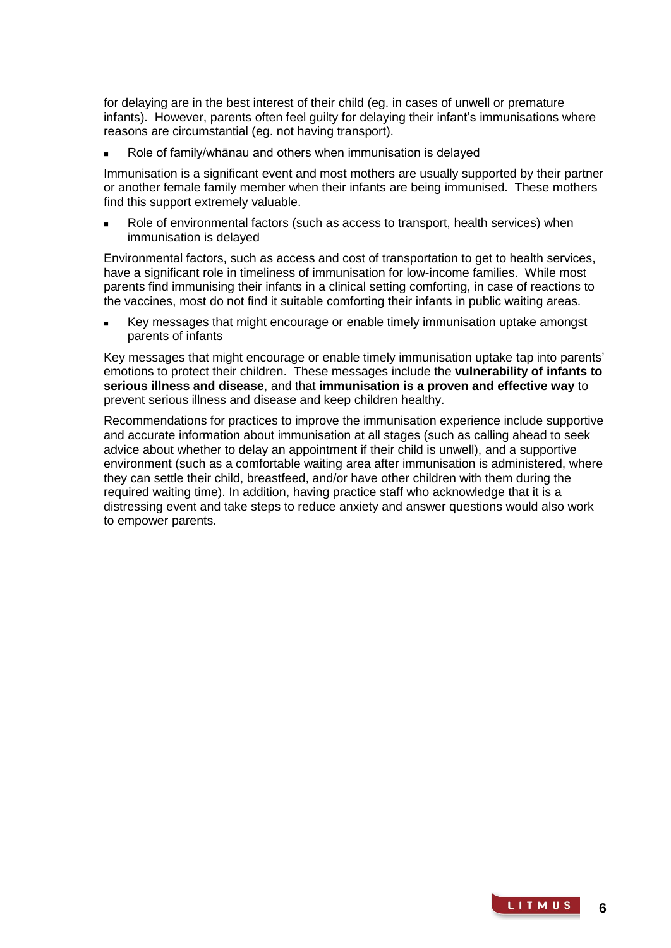for delaying are in the best interest of their child (eg. in cases of unwell or premature infants). However, parents often feel guilty for delaying their infant's immunisations where reasons are circumstantial (eg. not having transport).

Role of family/whānau and others when immunisation is delayed

Immunisation is a significant event and most mothers are usually supported by their partner or another female family member when their infants are being immunised. These mothers find this support extremely valuable.

 Role of environmental factors (such as access to transport, health services) when immunisation is delayed

Environmental factors, such as access and cost of transportation to get to health services, have a significant role in timeliness of immunisation for low-income families. While most parents find immunising their infants in a clinical setting comforting, in case of reactions to the vaccines, most do not find it suitable comforting their infants in public waiting areas.

 Key messages that might encourage or enable timely immunisation uptake amongst parents of infants

Key messages that might encourage or enable timely immunisation uptake tap into parents' emotions to protect their children. These messages include the **vulnerability of infants to serious illness and disease**, and that **immunisation is a proven and effective way** to prevent serious illness and disease and keep children healthy.

Recommendations for practices to improve the immunisation experience include supportive and accurate information about immunisation at all stages (such as calling ahead to seek advice about whether to delay an appointment if their child is unwell), and a supportive environment (such as a comfortable waiting area after immunisation is administered, where they can settle their child, breastfeed, and/or have other children with them during the required waiting time). In addition, having practice staff who acknowledge that it is a distressing event and take steps to reduce anxiety and answer questions would also work to empower parents.

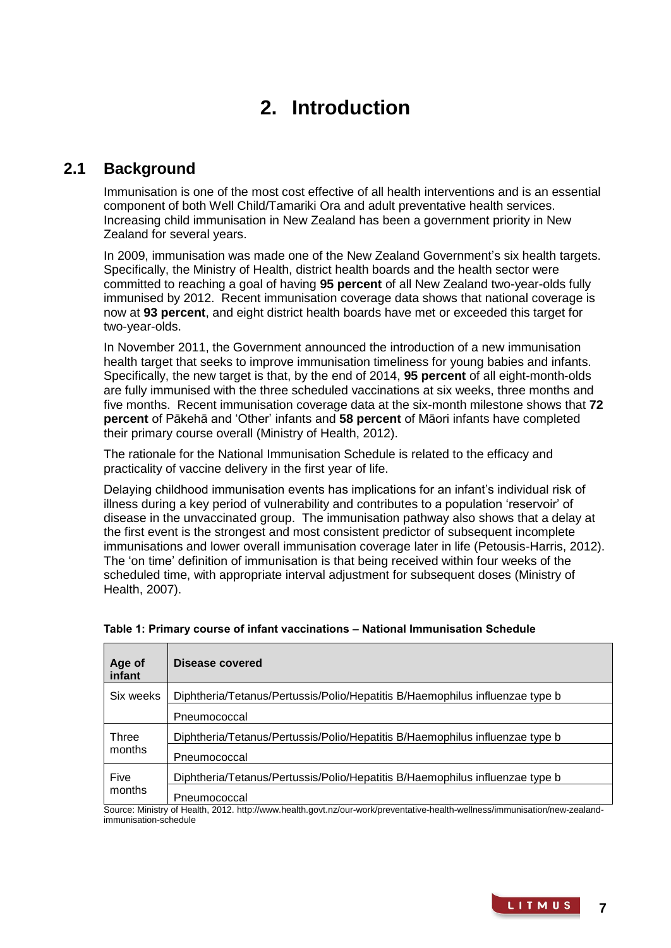# **2. Introduction**

# **2.1 Background**

Immunisation is one of the most cost effective of all health interventions and is an essential component of both Well Child/Tamariki Ora and adult preventative health services. Increasing child immunisation in New Zealand has been a government priority in New Zealand for several years.

In 2009, immunisation was made one of the New Zealand Government's six health targets. Specifically, the Ministry of Health, district health boards and the health sector were committed to reaching a goal of having **95 percent** of all New Zealand two-year-olds fully immunised by 2012. Recent immunisation coverage data shows that national coverage is now at **93 percent**, and eight district health boards have met or exceeded this target for two-year-olds.

In November 2011, the Government announced the introduction of a new immunisation health target that seeks to improve immunisation timeliness for young babies and infants. Specifically, the new target is that, by the end of 2014, **95 percent** of all eight-month-olds are fully immunised with the three scheduled vaccinations at six weeks, three months and five months. Recent immunisation coverage data at the six-month milestone shows that **72 percent** of Pākehā and 'Other' infants and **58 percent** of Māori infants have completed their primary course overall (Ministry of Health, 2012).

The rationale for the National Immunisation Schedule is related to the efficacy and practicality of vaccine delivery in the first year of life.

Delaying childhood immunisation events has implications for an infant's individual risk of illness during a key period of vulnerability and contributes to a population 'reservoir' of disease in the unvaccinated group. The immunisation pathway also shows that a delay at the first event is the strongest and most consistent predictor of subsequent incomplete immunisations and lower overall immunisation coverage later in life (Petousis-Harris, 2012). The 'on time' definition of immunisation is that being received within four weeks of the scheduled time, with appropriate interval adjustment for subsequent doses (Ministry of Health, 2007).

| Age of<br>infant | Disease covered                                                              |
|------------------|------------------------------------------------------------------------------|
| Six weeks        | Diphtheria/Tetanus/Pertussis/Polio/Hepatitis B/Haemophilus influenzae type b |
|                  | Pneumococcal                                                                 |
| Three<br>months  | Diphtheria/Tetanus/Pertussis/Polio/Hepatitis B/Haemophilus influenzae type b |
|                  | Pneumococcal                                                                 |
| Five<br>months   | Diphtheria/Tetanus/Pertussis/Polio/Hepatitis B/Haemophilus influenzae type b |
|                  | Pneumococcal                                                                 |

| Table 1: Primary course of infant vaccinations - National Immunisation Schedule |  |
|---------------------------------------------------------------------------------|--|
|---------------------------------------------------------------------------------|--|

Source: Ministry of Health, 2012. http://www.health.govt.nz/our-work/preventative-health-wellness/immunisation/new-zealandimmunisation-schedule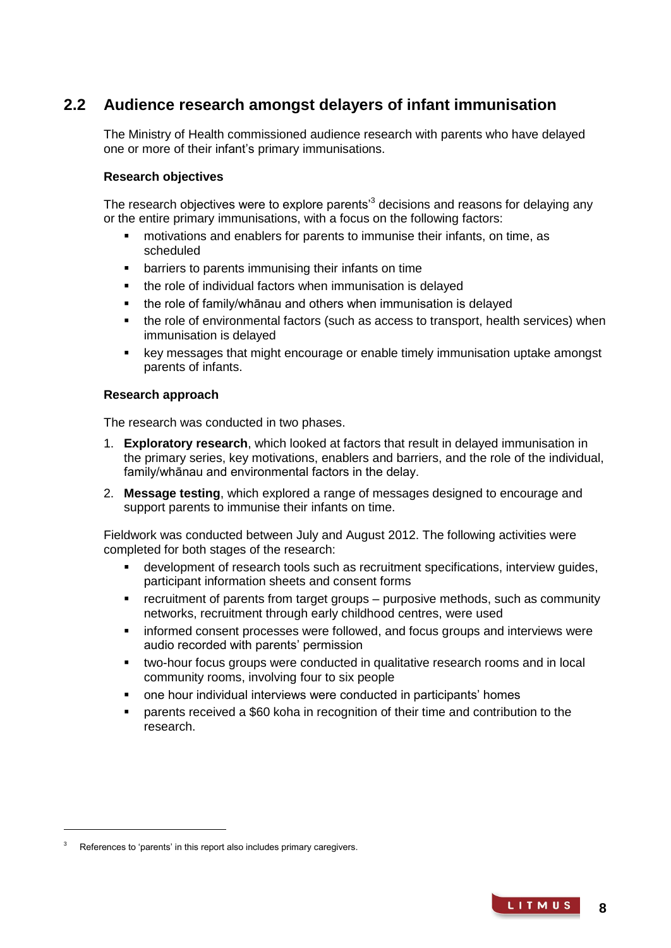# **2.2 Audience research amongst delayers of infant immunisation**

The Ministry of Health commissioned audience research with parents who have delayed one or more of their infant's primary immunisations.

## **Research objectives**

The research objectives were to explore parents<sup>3</sup> decisions and reasons for delaying any or the entire primary immunisations, with a focus on the following factors:

- motivations and enablers for parents to immunise their infants, on time, as scheduled
- barriers to parents immunising their infants on time
- the role of individual factors when immunisation is delayed
- the role of family/whānau and others when immunisation is delayed
- the role of environmental factors (such as access to transport, health services) when immunisation is delayed
- key messages that might encourage or enable timely immunisation uptake amongst parents of infants.

## **Research approach**

The research was conducted in two phases.

- 1. **Exploratory research**, which looked at factors that result in delayed immunisation in the primary series, key motivations, enablers and barriers, and the role of the individual, family/whānau and environmental factors in the delay.
- 2. **Message testing**, which explored a range of messages designed to encourage and support parents to immunise their infants on time.

Fieldwork was conducted between July and August 2012. The following activities were completed for both stages of the research:

- development of research tools such as recruitment specifications, interview guides, participant information sheets and consent forms
- recruitment of parents from target groups purposive methods, such as community networks, recruitment through early childhood centres, were used
- informed consent processes were followed, and focus groups and interviews were audio recorded with parents' permission
- two-hour focus groups were conducted in qualitative research rooms and in local community rooms, involving four to six people
- one hour individual interviews were conducted in participants' homes
- parents received a \$60 koha in recognition of their time and contribution to the research.

-

**8**

References to 'parents' in this report also includes primary caregivers.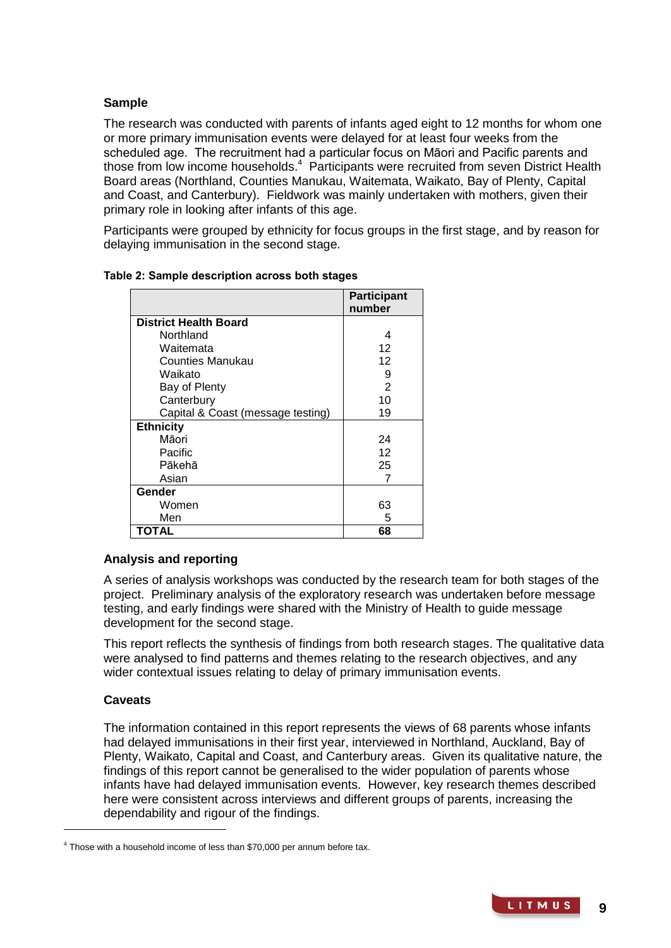## **Sample**

The research was conducted with parents of infants aged eight to 12 months for whom one or more primary immunisation events were delayed for at least four weeks from the scheduled age. The recruitment had a particular focus on Māori and Pacific parents and those from low income households.<sup>4</sup> Participants were recruited from seven District Health Board areas (Northland, Counties Manukau, Waitemata, Waikato, Bay of Plenty, Capital and Coast, and Canterbury). Fieldwork was mainly undertaken with mothers, given their primary role in looking after infants of this age.

Participants were grouped by ethnicity for focus groups in the first stage, and by reason for delaying immunisation in the second stage.

|                                   | <b>Participant</b><br>number |
|-----------------------------------|------------------------------|
| <b>District Health Board</b>      |                              |
| Northland                         | 4                            |
| Waitemata                         | 12                           |
| Counties Manukau                  | 12                           |
| Waikato                           | 9                            |
| Bay of Plenty                     | 2                            |
| Canterbury                        | 10                           |
| Capital & Coast (message testing) | 19                           |
| <b>Ethnicity</b>                  |                              |
| Māori                             | 24                           |
| Pacific                           | 12                           |
| Pākehā                            | 25                           |
| Asian                             | 7                            |
| Gender                            |                              |
| Women                             | 63                           |
| Men                               | 5                            |
| <b>TOTAL</b>                      | 68                           |

## **Table 2: Sample description across both stages**

## **Analysis and reporting**

A series of analysis workshops was conducted by the research team for both stages of the project. Preliminary analysis of the exploratory research was undertaken before message testing, and early findings were shared with the Ministry of Health to guide message development for the second stage.

This report reflects the synthesis of findings from both research stages. The qualitative data were analysed to find patterns and themes relating to the research objectives, and any wider contextual issues relating to delay of primary immunisation events.

## **Caveats**

-

The information contained in this report represents the views of 68 parents whose infants had delayed immunisations in their first year, interviewed in Northland, Auckland, Bay of Plenty, Waikato, Capital and Coast, and Canterbury areas. Given its qualitative nature, the findings of this report cannot be generalised to the wider population of parents whose infants have had delayed immunisation events. However, key research themes described here were consistent across interviews and different groups of parents, increasing the dependability and rigour of the findings.

 $4$  Those with a household income of less than \$70,000 per annum before tax.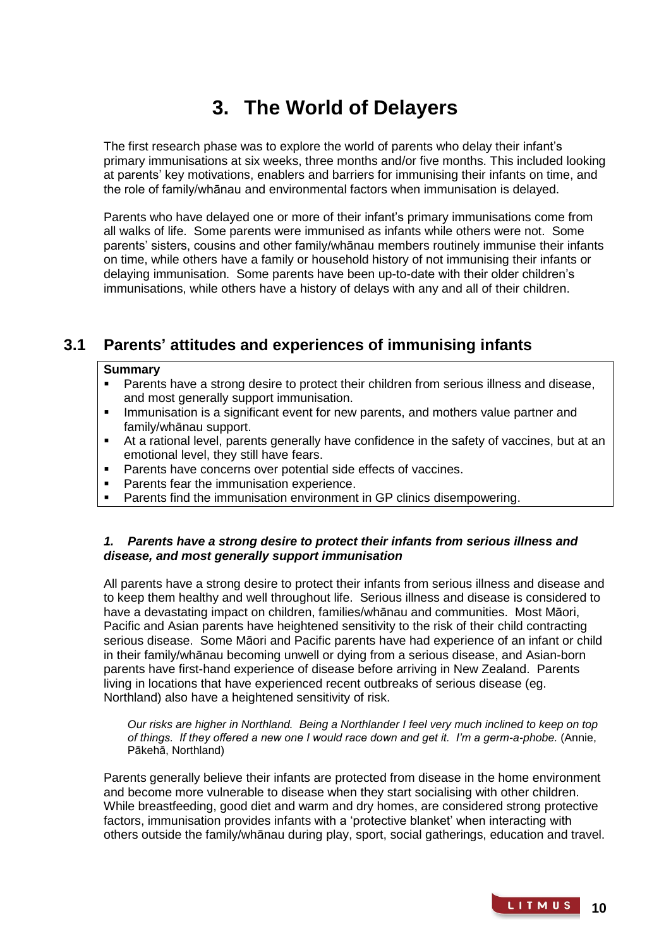# **3. The World of Delayers**

The first research phase was to explore the world of parents who delay their infant's primary immunisations at six weeks, three months and/or five months. This included looking at parents' key motivations, enablers and barriers for immunising their infants on time, and the role of family/whānau and environmental factors when immunisation is delayed.

Parents who have delayed one or more of their infant's primary immunisations come from all walks of life. Some parents were immunised as infants while others were not. Some parents' sisters, cousins and other family/whānau members routinely immunise their infants on time, while others have a family or household history of not immunising their infants or delaying immunisation. Some parents have been up-to-date with their older children's immunisations, while others have a history of delays with any and all of their children.

# **3.1 Parents' attitudes and experiences of immunising infants**

## **Summary**

- **Parents have a strong desire to protect their children from serious illness and disease,** and most generally support immunisation.
- **IMMUNIFY 19 Immunisation is a significant event for new parents, and mothers value partner and** family/whānau support.
- At a rational level, parents generally have confidence in the safety of vaccines, but at an emotional level, they still have fears.
- **Parents have concerns over potential side effects of vaccines.**
- Parents fear the immunisation experience.
- Parents find the immunisation environment in GP clinics disempowering.

## *1. Parents have a strong desire to protect their infants from serious illness and disease, and most generally support immunisation*

All parents have a strong desire to protect their infants from serious illness and disease and to keep them healthy and well throughout life. Serious illness and disease is considered to have a devastating impact on children, families/whānau and communities. Most Māori, Pacific and Asian parents have heightened sensitivity to the risk of their child contracting serious disease. Some Māori and Pacific parents have had experience of an infant or child in their family/whānau becoming unwell or dying from a serious disease, and Asian-born parents have first-hand experience of disease before arriving in New Zealand. Parents living in locations that have experienced recent outbreaks of serious disease (eg. Northland) also have a heightened sensitivity of risk.

*Our risks are higher in Northland. Being a Northlander I feel very much inclined to keep on top of things. If they offered a new one I would race down and get it. I'm a germ-a-phobe.* (Annie, Pākehā, Northland)

Parents generally believe their infants are protected from disease in the home environment and become more vulnerable to disease when they start socialising with other children. While breastfeeding, good diet and warm and dry homes, are considered strong protective factors, immunisation provides infants with a 'protective blanket' when interacting with others outside the family/whānau during play, sport, social gatherings, education and travel.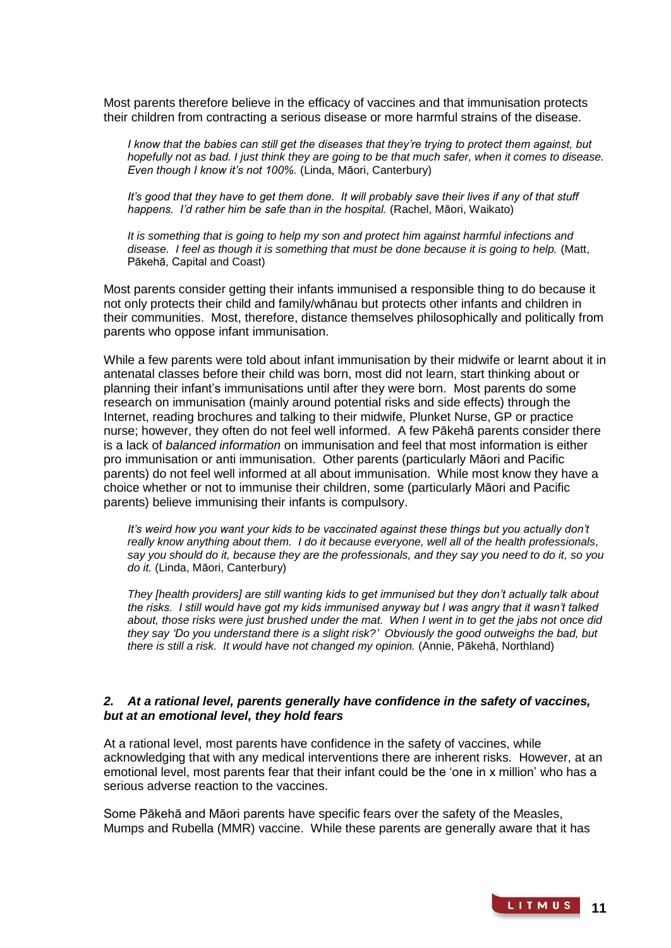Most parents therefore believe in the efficacy of vaccines and that immunisation protects their children from contracting a serious disease or more harmful strains of the disease.

*I* know that the babies can still get the diseases that they're trying to protect them against, but *hopefully not as bad. I just think they are going to be that much safer, when it comes to disease. Even though I know it's not 100%.* (Linda, Māori, Canterbury)

*It's good that they have to get them done. It will probably save their lives if any of that stuff happens. I'd rather him be safe than in the hospital.* (Rachel, Māori, Waikato)

*It is something that is going to help my son and protect him against harmful infections and disease. I feel as though it is something that must be done because it is going to help.* (Matt, Pākehā, Capital and Coast)

Most parents consider getting their infants immunised a responsible thing to do because it not only protects their child and family/whānau but protects other infants and children in their communities. Most, therefore, distance themselves philosophically and politically from parents who oppose infant immunisation.

While a few parents were told about infant immunisation by their midwife or learnt about it in antenatal classes before their child was born, most did not learn, start thinking about or planning their infant's immunisations until after they were born. Most parents do some research on immunisation (mainly around potential risks and side effects) through the Internet, reading brochures and talking to their midwife, Plunket Nurse, GP or practice nurse; however, they often do not feel well informed. A few Pākehā parents consider there is a lack of *balanced information* on immunisation and feel that most information is either pro immunisation or anti immunisation. Other parents (particularly Māori and Pacific parents) do not feel well informed at all about immunisation. While most know they have a choice whether or not to immunise their children, some (particularly Māori and Pacific parents) believe immunising their infants is compulsory.

*It's weird how you want your kids to be vaccinated against these things but you actually don't really know anything about them. I do it because everyone, well all of the health professionals, say you should do it, because they are the professionals, and they say you need to do it, so you do it.* (Linda, Māori, Canterbury)

*They [health providers] are still wanting kids to get immunised but they don't actually talk about the risks. I still would have got my kids immunised anyway but I was angry that it wasn't talked about, those risks were just brushed under the mat. When I went in to get the jabs not once did they say 'Do you understand there is a slight risk?' Obviously the good outweighs the bad, but there is still a risk. It would have not changed my opinion.* (Annie, Pākehā, Northland)

## *2. At a rational level, parents generally have confidence in the safety of vaccines, but at an emotional level, they hold fears*

At a rational level, most parents have confidence in the safety of vaccines, while acknowledging that with any medical interventions there are inherent risks. However, at an emotional level, most parents fear that their infant could be the 'one in x million' who has a serious adverse reaction to the vaccines.

Some Pākehā and Māori parents have specific fears over the safety of the Measles, Mumps and Rubella (MMR) vaccine. While these parents are generally aware that it has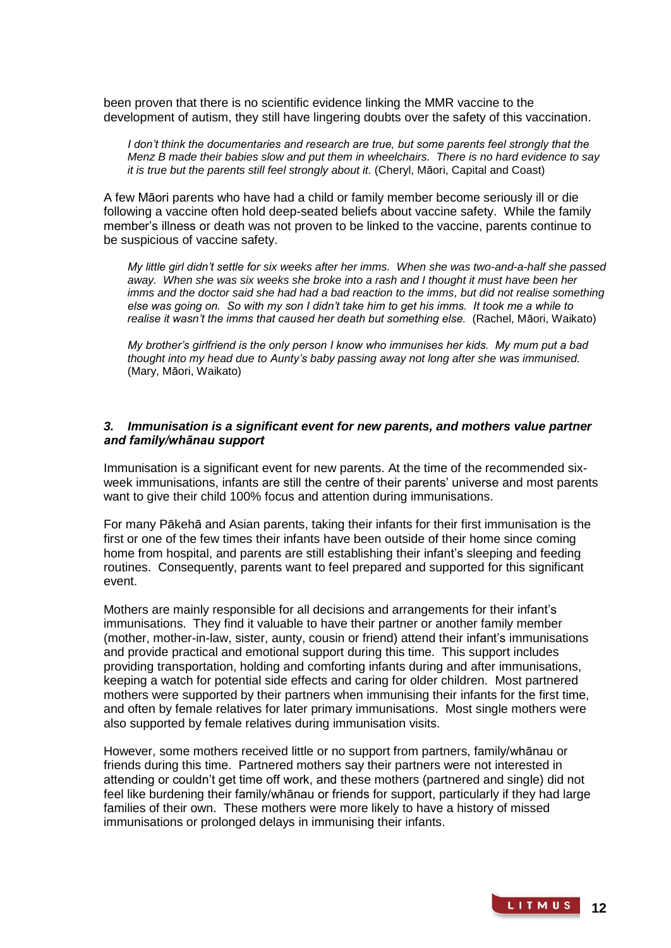been proven that there is no scientific [evidence](http://en.wikipedia.org/wiki/Scientific_evidence) linking the MMR vaccine to the development of autism, they still have lingering doubts over the safety of this vaccination.

*I don't think the documentaries and research are true, but some parents feel strongly that the Menz B made their babies slow and put them in wheelchairs. There is no hard evidence to say it is true but the parents still feel strongly about it.* (Cheryl, Māori, Capital and Coast)

A few Māori parents who have had a child or family member become seriously ill or die following a vaccine often hold deep-seated beliefs about vaccine safety. While the family member's illness or death was not proven to be linked to the vaccine, parents continue to be suspicious of vaccine safety.

*My little girl didn't settle for six weeks after her imms. When she was two-and-a-half she passed away. When she was six weeks she broke into a rash and I thought it must have been her imms and the doctor said she had had a bad reaction to the imms, but did not realise something else was going on. So with my son I didn't take him to get his imms. It took me a while to realise it wasn't the imms that caused her death but something else.* (Rachel, Māori, Waikato)

*My brother's girlfriend is the only person I know who immunises her kids. My mum put a bad thought into my head due to Aunty's baby passing away not long after she was immunised.*  (Mary, Māori, Waikato)

## *3. Immunisation is a significant event for new parents, and mothers value partner and family/whānau support*

Immunisation is a significant event for new parents. At the time of the recommended sixweek immunisations, infants are still the centre of their parents' universe and most parents want to give their child 100% focus and attention during immunisations.

For many Pākehā and Asian parents, taking their infants for their first immunisation is the first or one of the few times their infants have been outside of their home since coming home from hospital, and parents are still establishing their infant's sleeping and feeding routines. Consequently, parents want to feel prepared and supported for this significant event.

Mothers are mainly responsible for all decisions and arrangements for their infant's immunisations. They find it valuable to have their partner or another family member (mother, mother-in-law, sister, aunty, cousin or friend) attend their infant's immunisations and provide practical and emotional support during this time. This support includes providing transportation, holding and comforting infants during and after immunisations, keeping a watch for potential side effects and caring for older children. Most partnered mothers were supported by their partners when immunising their infants for the first time, and often by female relatives for later primary immunisations. Most single mothers were also supported by female relatives during immunisation visits.

However, some mothers received little or no support from partners, family/whānau or friends during this time. Partnered mothers say their partners were not interested in attending or couldn't get time off work, and these mothers (partnered and single) did not feel like burdening their family/whānau or friends for support, particularly if they had large families of their own. These mothers were more likely to have a history of missed immunisations or prolonged delays in immunising their infants.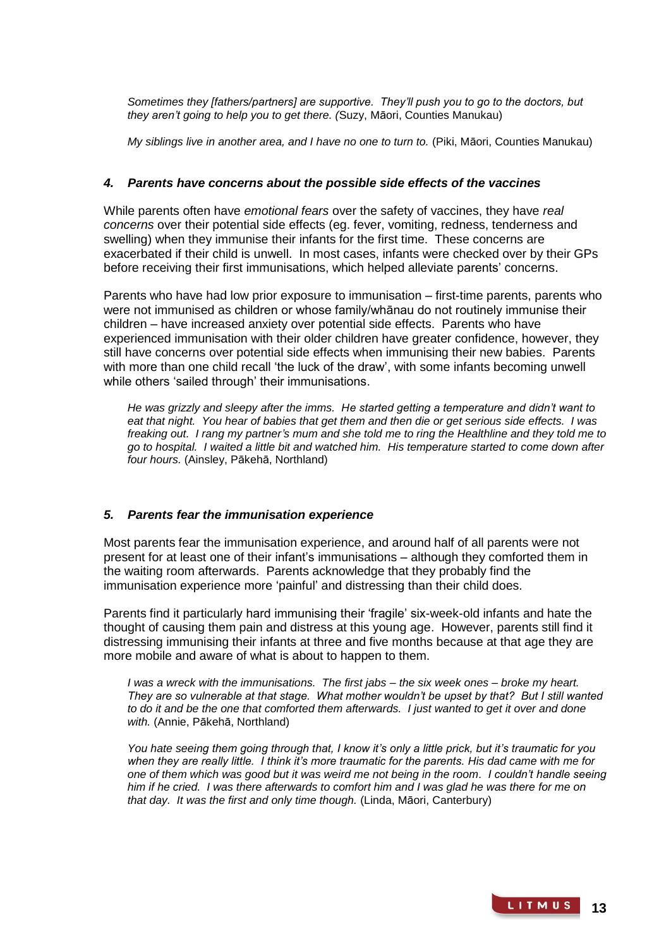*Sometimes they [fathers/partners] are supportive. They'll push you to go to the doctors, but they aren't going to help you to get there. (*Suzy, Māori, Counties Manukau)

*My siblings live in another area, and I have no one to turn to.* (Piki, Māori, Counties Manukau)

## *4. Parents have concerns about the possible side effects of the vaccines*

While parents often have *emotional fears* over the safety of vaccines, they have *real concerns* over their potential side effects (eg. fever, vomiting, redness, tenderness and swelling) when they immunise their infants for the first time. These concerns are exacerbated if their child is unwell. In most cases, infants were checked over by their GPs before receiving their first immunisations, which helped alleviate parents' concerns.

Parents who have had low prior exposure to immunisation – first-time parents, parents who were not immunised as children or whose family/whānau do not routinely immunise their children – have increased anxiety over potential side effects. Parents who have experienced immunisation with their older children have greater confidence, however, they still have concerns over potential side effects when immunising their new babies. Parents with more than one child recall 'the luck of the draw', with some infants becoming unwell while others 'sailed through' their immunisations.

*He was grizzly and sleepy after the imms. He started getting a temperature and didn't want to eat that night. You hear of babies that get them and then die or get serious side effects. I was freaking out. I rang my partner's mum and she told me to ring the Healthline and they told me to go to hospital. I waited a little bit and watched him. His temperature started to come down after four hours.* (Ainsley, Pākehā, Northland)

## *5. Parents fear the immunisation experience*

Most parents fear the immunisation experience, and around half of all parents were not present for at least one of their infant's immunisations – although they comforted them in the waiting room afterwards. Parents acknowledge that they probably find the immunisation experience more 'painful' and distressing than their child does.

Parents find it particularly hard immunising their 'fragile' six-week-old infants and hate the thought of causing them pain and distress at this young age. However, parents still find it distressing immunising their infants at three and five months because at that age they are more mobile and aware of what is about to happen to them.

*I was a wreck with the immunisations. The first jabs – the six week ones – broke my heart. They are so vulnerable at that stage. What mother wouldn't be upset by that? But I still wanted to do it and be the one that comforted them afterwards. I just wanted to get it over and done with.* (Annie, Pākehā, Northland)

*You hate seeing them going through that, I know it's only a little prick, but it's traumatic for you when they are really little. I think it's more traumatic for the parents. His dad came with me for one of them which was good but it was weird me not being in the room. I couldn't handle seeing him if he cried. I was there afterwards to comfort him and I was glad he was there for me on that day. It was the first and only time though.* (Linda, Māori, Canterbury)

> LITMUS **13**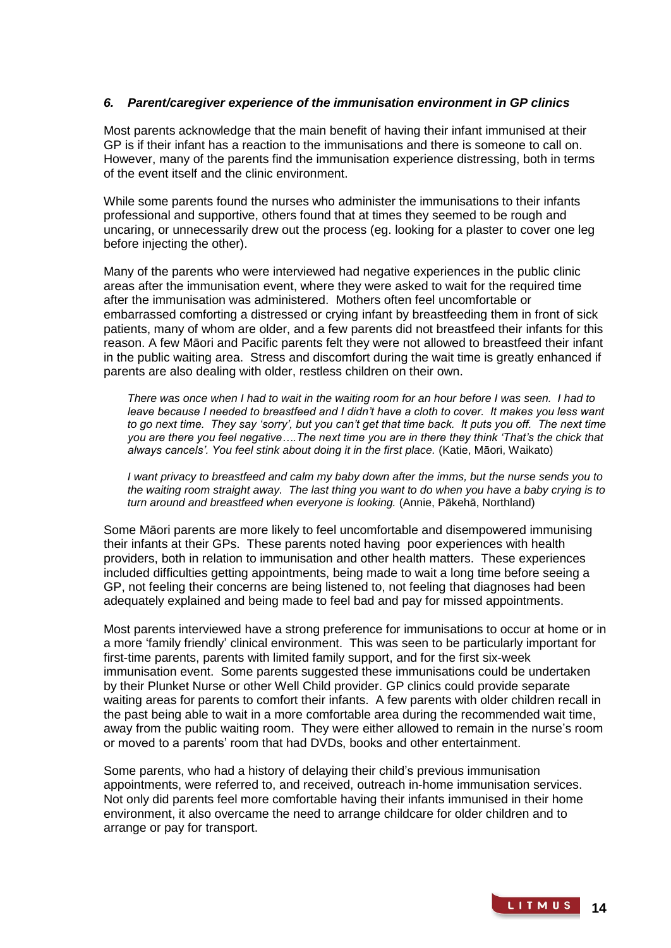## *6. Parent/caregiver experience of the immunisation environment in GP clinics*

Most parents acknowledge that the main benefit of having their infant immunised at their GP is if their infant has a reaction to the immunisations and there is someone to call on. However, many of the parents find the immunisation experience distressing, both in terms of the event itself and the clinic environment.

While some parents found the nurses who administer the immunisations to their infants professional and supportive, others found that at times they seemed to be rough and uncaring, or unnecessarily drew out the process (eg. looking for a plaster to cover one leg before injecting the other).

Many of the parents who were interviewed had negative experiences in the public clinic areas after the immunisation event, where they were asked to wait for the required time after the immunisation was administered. Mothers often feel uncomfortable or embarrassed comforting a distressed or crying infant by breastfeeding them in front of sick patients, many of whom are older, and a few parents did not breastfeed their infants for this reason. A few Māori and Pacific parents felt they were not allowed to breastfeed their infant in the public waiting area. Stress and discomfort during the wait time is greatly enhanced if parents are also dealing with older, restless children on their own.

*There was once when I had to wait in the waiting room for an hour before I was seen. I had to*  leave because I needed to breastfeed and I didn't have a cloth to cover. It makes you less want *to go next time. They say 'sorry', but you can't get that time back. It puts you off. The next time you are there you feel negative….The next time you are in there they think 'That's the chick that always cancels'. You feel stink about doing it in the first place.* (Katie, Māori, Waikato)

*I want privacy to breastfeed and calm my baby down after the imms, but the nurse sends you to the waiting room straight away. The last thing you want to do when you have a baby crying is to turn around and breastfeed when everyone is looking.* (Annie, Pākehā, Northland)

Some Māori parents are more likely to feel uncomfortable and disempowered immunising their infants at their GPs. These parents noted having poor experiences with health providers, both in relation to immunisation and other health matters. These experiences included difficulties getting appointments, being made to wait a long time before seeing a GP, not feeling their concerns are being listened to, not feeling that diagnoses had been adequately explained and being made to feel bad and pay for missed appointments.

Most parents interviewed have a strong preference for immunisations to occur at home or in a more 'family friendly' clinical environment. This was seen to be particularly important for first-time parents, parents with limited family support, and for the first six-week immunisation event. Some parents suggested these immunisations could be undertaken by their Plunket Nurse or other Well Child provider. GP clinics could provide separate waiting areas for parents to comfort their infants. A few parents with older children recall in the past being able to wait in a more comfortable area during the recommended wait time, away from the public waiting room. They were either allowed to remain in the nurse's room or moved to a parents' room that had DVDs, books and other entertainment.

Some parents, who had a history of delaying their child's previous immunisation appointments, were referred to, and received, outreach in-home immunisation services. Not only did parents feel more comfortable having their infants immunised in their home environment, it also overcame the need to arrange childcare for older children and to arrange or pay for transport.

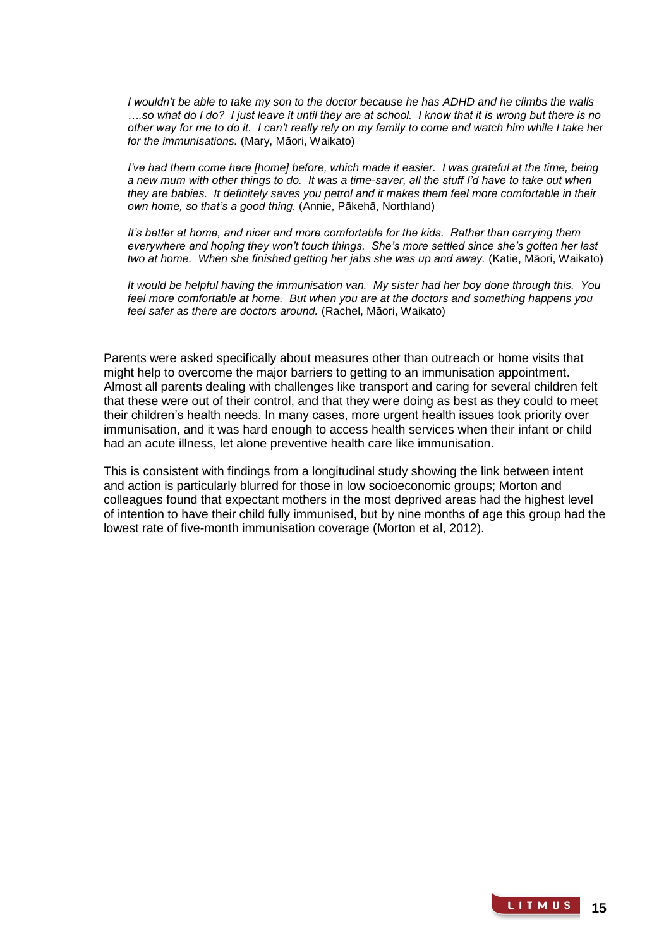*I wouldn't be able to take my son to the doctor because he has ADHD and he climbs the walls ….so what do I do? I just leave it until they are at school. I know that it is wrong but there is no other way for me to do it. I can't really rely on my family to come and watch him while I take her for the immunisations.* (Mary, Māori, Waikato)

*I've had them come here [home] before, which made it easier. I was grateful at the time, being a new mum with other things to do. It was a time-saver, all the stuff I'd have to take out when they are babies. It definitely saves you petrol and it makes them feel more comfortable in their own home, so that's a good thing.* (Annie, Pākehā, Northland)

*It's better at home, and nicer and more comfortable for the kids. Rather than carrying them everywhere and hoping they won't touch things. She's more settled since she's gotten her last two at home. When she finished getting her jabs she was up and away.* (Katie, Māori, Waikato)

*It would be helpful having the immunisation van. My sister had her boy done through this. You feel more comfortable at home. But when you are at the doctors and something happens you feel safer as there are doctors around.* (Rachel, Māori, Waikato)

Parents were asked specifically about measures other than outreach or home visits that might help to overcome the major barriers to getting to an immunisation appointment. Almost all parents dealing with challenges like transport and caring for several children felt that these were out of their control, and that they were doing as best as they could to meet their children's health needs. In many cases, more urgent health issues took priority over immunisation, and it was hard enough to access health services when their infant or child had an acute illness, let alone preventive health care like immunisation.

This is consistent with findings from a longitudinal study showing the link between intent and action is particularly blurred for those in low socioeconomic groups; Morton and colleagues found that expectant mothers in the most deprived areas had the highest level of intention to have their child fully immunised, but by nine months of age this group had the lowest rate of five-month immunisation coverage (Morton et al, 2012).

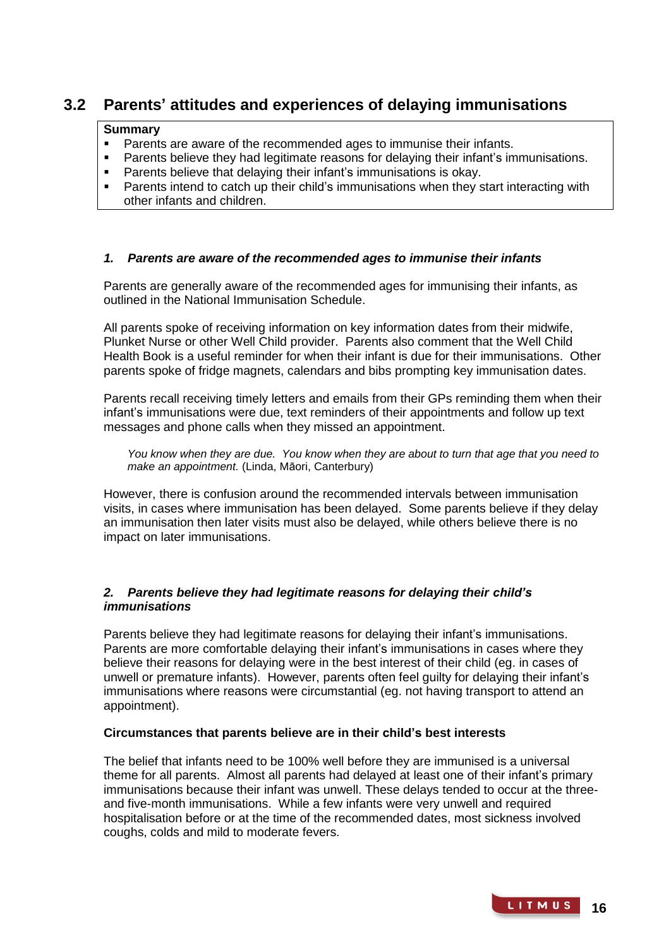# **3.2 Parents' attitudes and experiences of delaying immunisations**

## **Summary**

- Parents are aware of the recommended ages to immunise their infants.<br>Parents believe they had legitimate reasons for delaying their infant's im
- Parents believe they had legitimate reasons for delaying their infant's immunisations.
- Parents believe that delaying their infant's immunisations is okay.
- Parents intend to catch up their child's immunisations when they start interacting with other infants and children.

## *1. Parents are aware of the recommended ages to immunise their infants*

Parents are generally aware of the recommended ages for immunising their infants, as outlined in the National Immunisation Schedule.

All parents spoke of receiving information on key information dates from their midwife, Plunket Nurse or other Well Child provider. Parents also comment that the Well Child Health Book is a useful reminder for when their infant is due for their immunisations. Other parents spoke of fridge magnets, calendars and bibs prompting key immunisation dates.

Parents recall receiving timely letters and emails from their GPs reminding them when their infant's immunisations were due, text reminders of their appointments and follow up text messages and phone calls when they missed an appointment.

*You know when they are due. You know when they are about to turn that age that you need to make an appointment.* (Linda, Māori, Canterbury)

However, there is confusion around the recommended intervals between immunisation visits, in cases where immunisation has been delayed. Some parents believe if they delay an immunisation then later visits must also be delayed, while others believe there is no impact on later immunisations.

## *2. Parents believe they had legitimate reasons for delaying their child's immunisations*

Parents believe they had legitimate reasons for delaying their infant's immunisations. Parents are more comfortable delaying their infant's immunisations in cases where they believe their reasons for delaying were in the best interest of their child (eg. in cases of unwell or premature infants). However, parents often feel guilty for delaying their infant's immunisations where reasons were circumstantial (eg. not having transport to attend an appointment).

## **Circumstances that parents believe are in their child's best interests**

The belief that infants need to be 100% well before they are immunised is a universal theme for all parents. Almost all parents had delayed at least one of their infant's primary immunisations because their infant was unwell. These delays tended to occur at the threeand five-month immunisations. While a few infants were very unwell and required hospitalisation before or at the time of the recommended dates, most sickness involved coughs, colds and mild to moderate fevers.

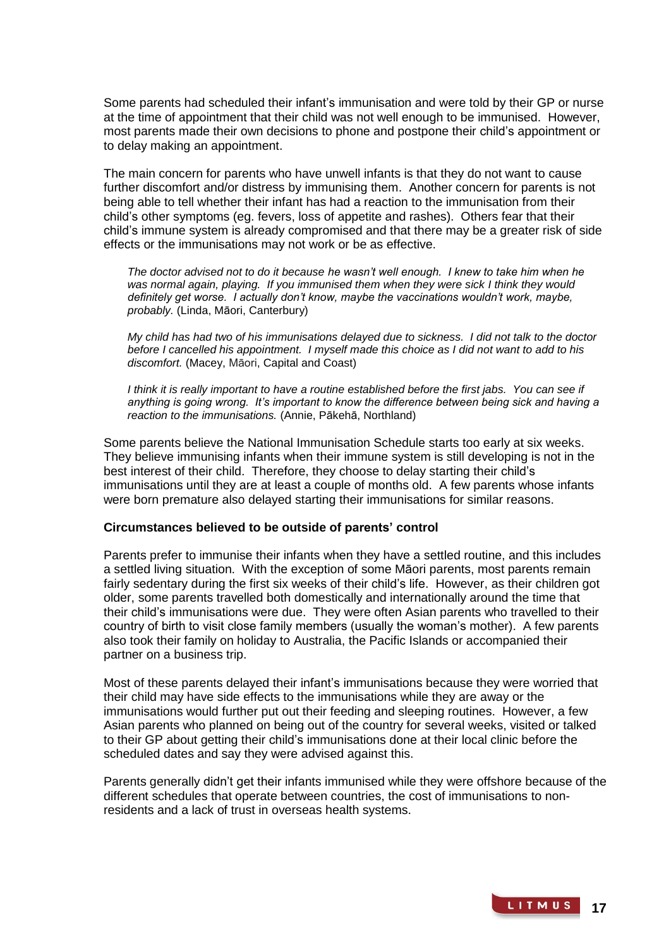Some parents had scheduled their infant's immunisation and were told by their GP or nurse at the time of appointment that their child was not well enough to be immunised. However, most parents made their own decisions to phone and postpone their child's appointment or to delay making an appointment.

The main concern for parents who have unwell infants is that they do not want to cause further discomfort and/or distress by immunising them. Another concern for parents is not being able to tell whether their infant has had a reaction to the immunisation from their child's other symptoms (eg. fevers, loss of appetite and rashes). Others fear that their child's immune system is already compromised and that there may be a greater risk of side effects or the immunisations may not work or be as effective.

*The doctor advised not to do it because he wasn't well enough. I knew to take him when he was normal again, playing. If you immunised them when they were sick I think they would definitely get worse. I actually don't know, maybe the vaccinations wouldn't work, maybe, probably.* (Linda, Māori, Canterbury)

*My child has had two of his immunisations delayed due to sickness. I did not talk to the doctor before I cancelled his appointment. I myself made this choice as I did not want to add to his discomfort.* (Macey, Māori, Capital and Coast)

*I think it is really important to have a routine established before the first jabs. You can see if anything is going wrong. It's important to know the difference between being sick and having a reaction to the immunisations.* (Annie, Pākehā, Northland)

Some parents believe the National Immunisation Schedule starts too early at six weeks. They believe immunising infants when their immune system is still developing is not in the best interest of their child. Therefore, they choose to delay starting their child's immunisations until they are at least a couple of months old. A few parents whose infants were born premature also delayed starting their immunisations for similar reasons.

## **Circumstances believed to be outside of parents' control**

Parents prefer to immunise their infants when they have a settled routine, and this includes a settled living situation. With the exception of some Māori parents, most parents remain fairly sedentary during the first six weeks of their child's life. However, as their children got older, some parents travelled both domestically and internationally around the time that their child's immunisations were due. They were often Asian parents who travelled to their country of birth to visit close family members (usually the woman's mother). A few parents also took their family on holiday to Australia, the Pacific Islands or accompanied their partner on a business trip.

Most of these parents delayed their infant's immunisations because they were worried that their child may have side effects to the immunisations while they are away or the immunisations would further put out their feeding and sleeping routines. However, a few Asian parents who planned on being out of the country for several weeks, visited or talked to their GP about getting their child's immunisations done at their local clinic before the scheduled dates and say they were advised against this.

Parents generally didn't get their infants immunised while they were offshore because of the different schedules that operate between countries, the cost of immunisations to nonresidents and a lack of trust in overseas health systems.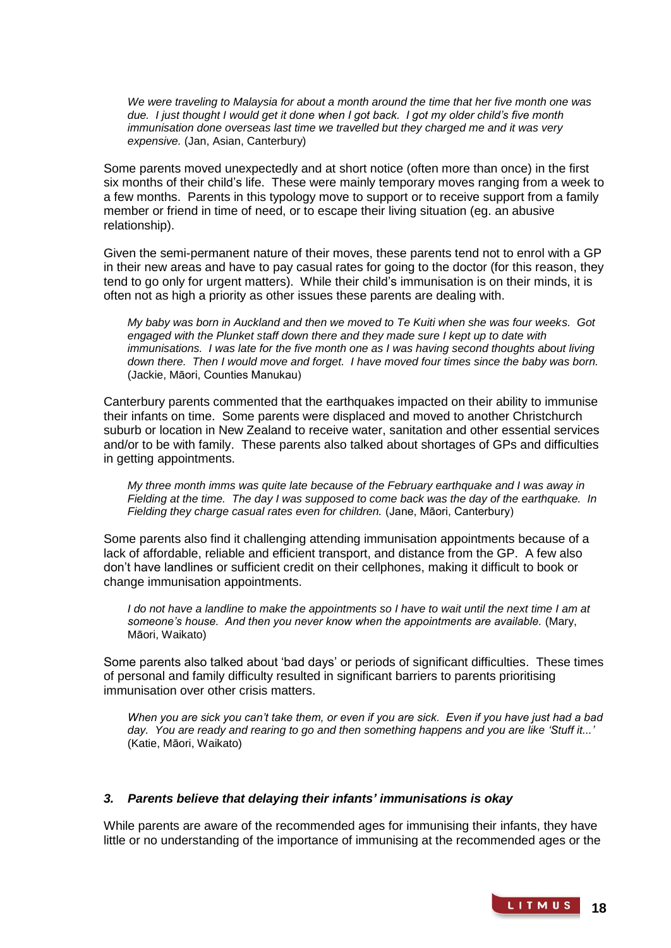*We were traveling to Malaysia for about a month around the time that her five month one was due. I just thought I would get it done when I got back. I got my older child's five month immunisation done overseas last time we travelled but they charged me and it was very expensive.* (Jan, Asian, Canterbury)

Some parents moved unexpectedly and at short notice (often more than once) in the first six months of their child's life. These were mainly temporary moves ranging from a week to a few months. Parents in this typology move to support or to receive support from a family member or friend in time of need, or to escape their living situation (eg. an abusive relationship).

Given the semi-permanent nature of their moves, these parents tend not to enrol with a GP in their new areas and have to pay casual rates for going to the doctor (for this reason, they tend to go only for urgent matters). While their child's immunisation is on their minds, it is often not as high a priority as other issues these parents are dealing with.

*My baby was born in Auckland and then we moved to Te Kuiti when she was four weeks. Got engaged with the Plunket staff down there and they made sure I kept up to date with immunisations. I was late for the five month one as I was having second thoughts about living down there. Then I would move and forget. I have moved four times since the baby was born.*  (Jackie, Māori, Counties Manukau)

Canterbury parents commented that the earthquakes impacted on their ability to immunise their infants on time. Some parents were displaced and moved to another Christchurch suburb or location in New Zealand to receive water, sanitation and other essential services and/or to be with family. These parents also talked about shortages of GPs and difficulties in getting appointments.

*My three month imms was quite late because of the February earthquake and I was away in Fielding at the time. The day I was supposed to come back was the day of the earthquake. In Fielding they charge casual rates even for children.* (Jane, Māori, Canterbury)

Some parents also find it challenging attending immunisation appointments because of a lack of affordable, reliable and efficient transport, and distance from the GP. A few also don't have landlines or sufficient credit on their cellphones, making it difficult to book or change immunisation appointments.

*I* do not have a landline to make the appointments so *I* have to wait until the next time *I* am at *someone's house. And then you never know when the appointments are available.* (Mary, Māori, Waikato)

Some parents also talked about 'bad days' or periods of significant difficulties. These times of personal and family difficulty resulted in significant barriers to parents prioritising immunisation over other crisis matters.

*When you are sick you can't take them, or even if you are sick. Even if you have just had a bad day. You are ready and rearing to go and then something happens and you are like 'Stuff it...'* (Katie, Māori, Waikato)

## *3. Parents believe that delaying their infants' immunisations is okay*

While parents are aware of the recommended ages for immunising their infants, they have little or no understanding of the importance of immunising at the recommended ages or the

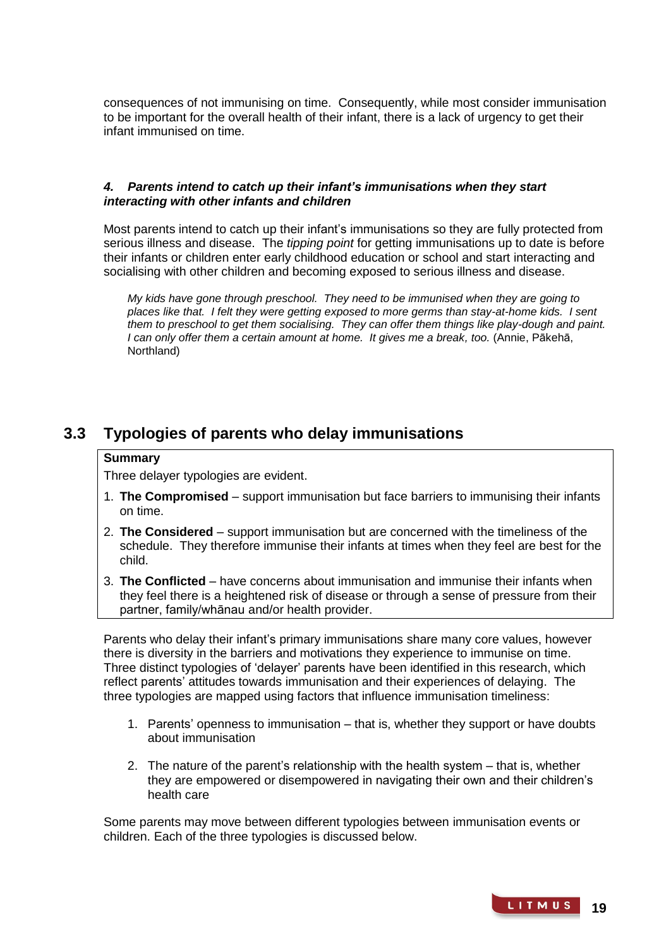consequences of not immunising on time. Consequently, while most consider immunisation to be important for the overall health of their infant, there is a lack of urgency to get their infant immunised on time.

## *4. Parents intend to catch up their infant's immunisations when they start interacting with other infants and children*

Most parents intend to catch up their infant's immunisations so they are fully protected from serious illness and disease. The *tipping point* for getting immunisations up to date is before their infants or children enter early childhood education or school and start interacting and socialising with other children and becoming exposed to serious illness and disease.

*My kids have gone through preschool. They need to be immunised when they are going to places like that. I felt they were getting exposed to more germs than stay-at-home kids. I sent them to preschool to get them socialising. They can offer them things like play-dough and paint. I can only offer them a certain amount at home. It gives me a break, too.* (Annie, Pākehā, Northland)

# **3.3 Typologies of parents who delay immunisations**

## **Summary**

Three delayer typologies are evident.

- 1. **The Compromised** support immunisation but face barriers to immunising their infants on time.
- 2. **The Considered** support immunisation but are concerned with the timeliness of the schedule. They therefore immunise their infants at times when they feel are best for the child.
- 3. **The Conflicted** have concerns about immunisation and immunise their infants when they feel there is a heightened risk of disease or through a sense of pressure from their partner, family/whānau and/or health provider.

Parents who delay their infant's primary immunisations share many core values, however there is diversity in the barriers and motivations they experience to immunise on time. Three distinct typologies of 'delayer' parents have been identified in this research, which reflect parents' attitudes towards immunisation and their experiences of delaying. The three typologies are mapped using factors that influence immunisation timeliness:

- 1. Parents' openness to immunisation that is, whether they support or have doubts about immunisation
- 2. The nature of the parent's relationship with the health system that is, whether they are empowered or disempowered in navigating their own and their children's health care

Some parents may move between different typologies between immunisation events or children. Each of the three typologies is discussed below.

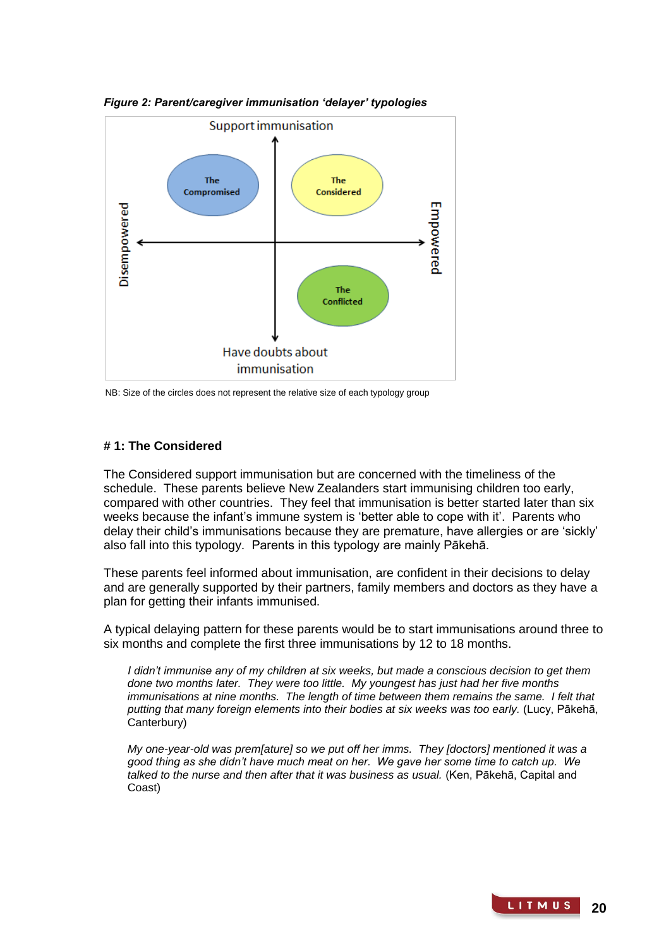

*Figure 2: Parent/caregiver immunisation 'delayer' typologies*

NB: Size of the circles does not represent the relative size of each typology group

## **# 1: The Considered**

The Considered support immunisation but are concerned with the timeliness of the schedule. These parents believe New Zealanders start immunising children too early, compared with other countries. They feel that immunisation is better started later than six weeks because the infant's immune system is 'better able to cope with it'. Parents who delay their child's immunisations because they are premature, have allergies or are 'sickly' also fall into this typology. Parents in this typology are mainly Pākehā.

These parents feel informed about immunisation, are confident in their decisions to delay and are generally supported by their partners, family members and doctors as they have a plan for getting their infants immunised.

A typical delaying pattern for these parents would be to start immunisations around three to six months and complete the first three immunisations by 12 to 18 months.

*I didn't immunise any of my children at six weeks, but made a conscious decision to get them done two months later. They were too little. My youngest has just had her five months immunisations at nine months. The length of time between them remains the same. I felt that putting that many foreign elements into their bodies at six weeks was too early.* (Lucy, Pākehā, Canterbury)

*My one-year-old was prem[ature] so we put off her imms. They [doctors] mentioned it was a good thing as she didn't have much meat on her. We gave her some time to catch up. We talked to the nurse and then after that it was business as usual.* (Ken, Pākehā, Capital and Coast)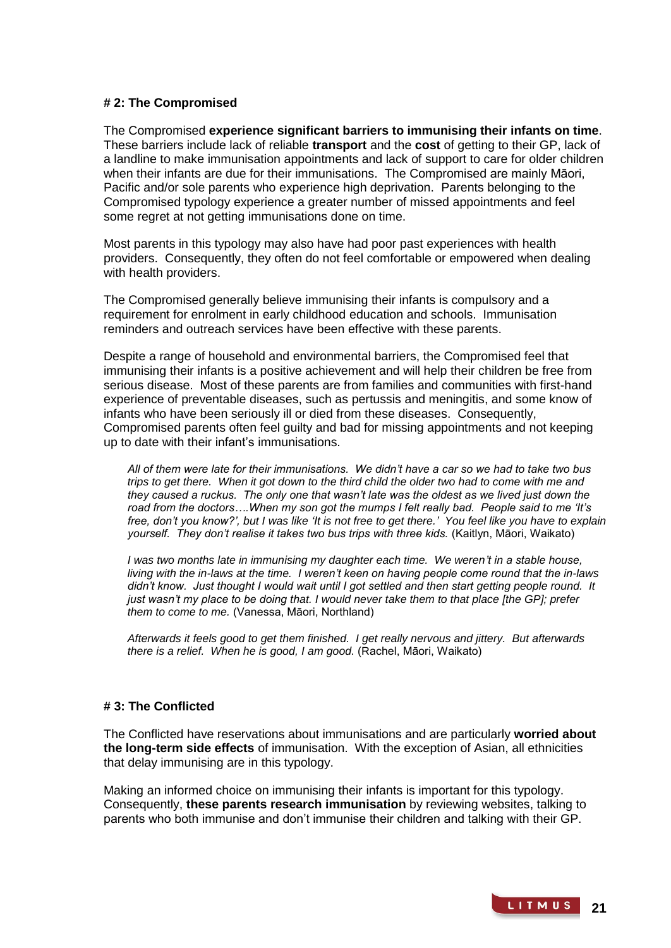## **# 2: The Compromised**

The Compromised **experience significant barriers to immunising their infants on time**. These barriers include lack of reliable **transport** and the **cost** of getting to their GP, lack of a landline to make immunisation appointments and lack of support to care for older children when their infants are due for their immunisations. The Compromised are mainly Māori, Pacific and/or sole parents who experience high deprivation. Parents belonging to the Compromised typology experience a greater number of missed appointments and feel some regret at not getting immunisations done on time.

Most parents in this typology may also have had poor past experiences with health providers. Consequently, they often do not feel comfortable or empowered when dealing with health providers.

The Compromised generally believe immunising their infants is compulsory and a requirement for enrolment in early childhood education and schools. Immunisation reminders and outreach services have been effective with these parents.

Despite a range of household and environmental barriers, the Compromised feel that immunising their infants is a positive achievement and will help their children be free from serious disease. Most of these parents are from families and communities with first-hand experience of preventable diseases, such as pertussis and meningitis, and some know of infants who have been seriously ill or died from these diseases. Consequently, Compromised parents often feel guilty and bad for missing appointments and not keeping up to date with their infant's immunisations.

*All of them were late for their immunisations. We didn't have a car so we had to take two bus trips to get there. When it got down to the third child the older two had to come with me and they caused a ruckus. The only one that wasn't late was the oldest as we lived just down the road from the doctors….When my son got the mumps I felt really bad. People said to me 'It's free, don't you know?', but I was like 'It is not free to get there.' You feel like you have to explain yourself. They don't realise it takes two bus trips with three kids.* (Kaitlyn, Māori, Waikato)

*I* was two months late in immunising my daughter each time. We weren't in a stable house, *living with the in-laws at the time. I weren't keen on having people come round that the in-laws*  didn't know. Just thought I would wait until I got settled and then start getting people round. It *just wasn't my place to be doing that. I would never take them to that place [the GP]; prefer them to come to me.* (Vanessa, Māori, Northland)

*Afterwards it feels good to get them finished. I get really nervous and jittery. But afterwards there is a relief. When he is good, I am good.* (Rachel, Māori, Waikato)

## **# 3: The Conflicted**

The Conflicted have reservations about immunisations and are particularly **worried about the long-term side effects** of immunisation. With the exception of Asian, all ethnicities that delay immunising are in this typology.

Making an informed choice on immunising their infants is important for this typology. Consequently, **these parents research immunisation** by reviewing websites, talking to parents who both immunise and don't immunise their children and talking with their GP.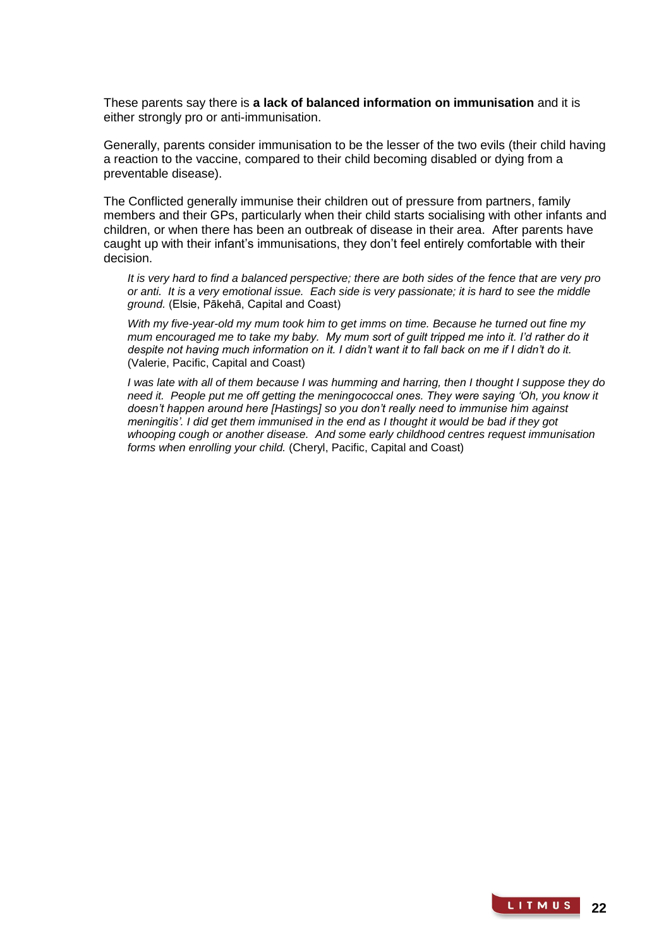These parents say there is **a lack of balanced information on immunisation** and it is either strongly pro or anti-immunisation.

Generally, parents consider immunisation to be the lesser of the two evils (their child having a reaction to the vaccine, compared to their child becoming disabled or dying from a preventable disease).

The Conflicted generally immunise their children out of pressure from partners, family members and their GPs, particularly when their child starts socialising with other infants and children, or when there has been an outbreak of disease in their area. After parents have caught up with their infant's immunisations, they don't feel entirely comfortable with their decision.

*It is very hard to find a balanced perspective; there are both sides of the fence that are very pro or anti. It is a very emotional issue. Each side is very passionate; it is hard to see the middle ground.* (Elsie, Pākehā, Capital and Coast)

*With my five-year-old my mum took him to get imms on time. Because he turned out fine my mum encouraged me to take my baby. My mum sort of guilt tripped me into it. I'd rather do it despite not having much information on it. I didn't want it to fall back on me if I didn't do it.*  (Valerie, Pacific, Capital and Coast)

*I was late with all of them because I was humming and harring, then I thought I suppose they do need it. People put me off getting the meningococcal ones. They were saying 'Oh, you know it doesn't happen around here [Hastings] so you don't really need to immunise him against meningitis'. I did get them immunised in the end as I thought it would be bad if they got whooping cough or another disease. And some early childhood centres request immunisation forms when enrolling your child.* (Cheryl, Pacific, Capital and Coast)

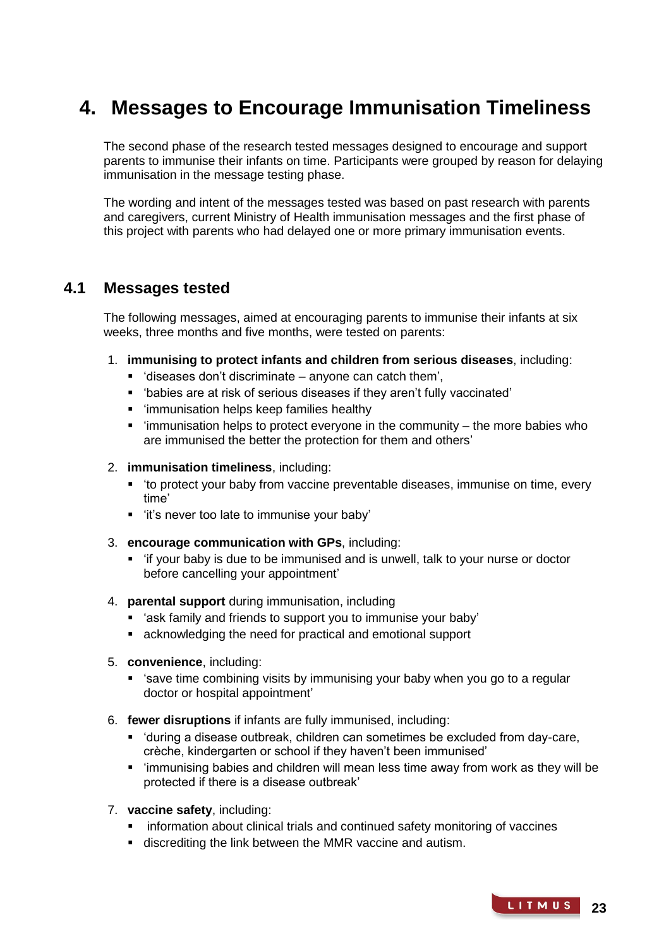# **4. Messages to Encourage Immunisation Timeliness**

The second phase of the research tested messages designed to encourage and support parents to immunise their infants on time. Participants were grouped by reason for delaying immunisation in the message testing phase.

The wording and intent of the messages tested was based on past research with parents and caregivers, current Ministry of Health immunisation messages and the first phase of this project with parents who had delayed one or more primary immunisation events.

## **4.1 Messages tested**

The following messages, aimed at encouraging parents to immunise their infants at six weeks, three months and five months, were tested on parents:

- 1. **immunising to protect infants and children from serious diseases**, including:
	- $\blacksquare$  'diseases don't discriminate anyone can catch them',
	- 'babies are at risk of serious diseases if they aren't fully vaccinated'
	- 'immunisation helps keep families healthy
	- $\blacksquare$  'immunisation helps to protect everyone in the community the more babies who are immunised the better the protection for them and others'
- 2. **immunisation timeliness**, including:
	- 'to protect your baby from vaccine preventable diseases, immunise on time, every time'
	- 'it's never too late to immunise your baby'
- 3. **encourage communication with GPs**, including:
	- 'if your baby is due to be immunised and is unwell, talk to your nurse or doctor before cancelling your appointment'
- 4. **parental support** during immunisation, including
	- 'ask family and friends to support you to immunise your baby'
	- acknowledging the need for practical and emotional support
- 5. **convenience**, including:
	- 'save time combining visits by immunising your baby when you go to a regular doctor or hospital appointment'
- 6. **fewer disruptions** if infants are fully immunised, including:
	- 'during a disease outbreak, children can sometimes be excluded from day-care, crèche, kindergarten or school if they haven't been immunised'
	- 'immunising babies and children will mean less time away from work as they will be protected if there is a disease outbreak'
- 7. **vaccine safety**, including:
	- **F** information about clinical trials and continued safety monitoring of vaccines
	- discrediting the link between the MMR vaccine and autism.

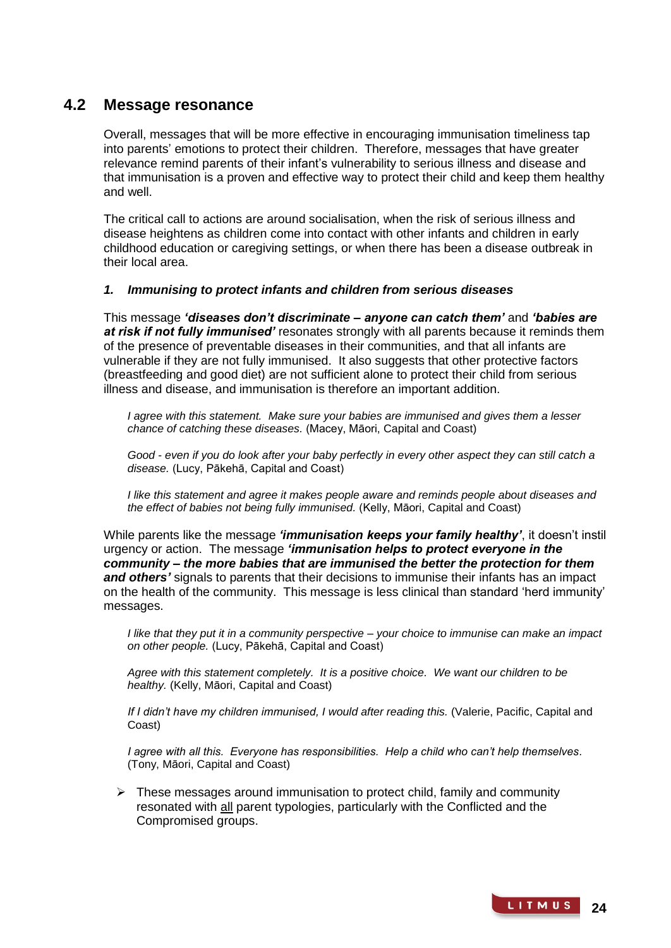## **4.2 Message resonance**

Overall, messages that will be more effective in encouraging immunisation timeliness tap into parents' emotions to protect their children. Therefore, messages that have greater relevance remind parents of their infant's vulnerability to serious illness and disease and that immunisation is a proven and effective way to protect their child and keep them healthy and well.

The critical call to actions are around socialisation, when the risk of serious illness and disease heightens as children come into contact with other infants and children in early childhood education or caregiving settings, or when there has been a disease outbreak in their local area.

## *1. Immunising to protect infants and children from serious diseases*

This message *'diseases don't discriminate – anyone can catch them'* and *'babies are at risk if not fully immunised'* resonates strongly with all parents because it reminds them of the presence of preventable diseases in their communities, and that all infants are vulnerable if they are not fully immunised. It also suggests that other protective factors (breastfeeding and good diet) are not sufficient alone to protect their child from serious illness and disease, and immunisation is therefore an important addition.

*I agree with this statement. Make sure your babies are immunised and gives them a lesser chance of catching these diseases.* (Macey, Māori, Capital and Coast)

*Good - even if you do look after your baby perfectly in every other aspect they can still catch a disease.* (Lucy, Pākehā, Capital and Coast)

*I like this statement and agree it makes people aware and reminds people about diseases and the effect of babies not being fully immunised.* (Kelly, Māori, Capital and Coast)

While parents like the message *'immunisation keeps your family healthy'*, it doesn't instil urgency or action. The message *'immunisation helps to protect everyone in the community – the more babies that are immunised the better the protection for them and others'* signals to parents that their decisions to immunise their infants has an impact on the health of the community. This message is less clinical than standard 'herd immunity' messages.

*I like that they put it in a community perspective – your choice to immunise can make an impact on other people.* (Lucy, Pākehā, Capital and Coast)

*Agree with this statement completely. It is a positive choice. We want our children to be healthy.* (Kelly, Māori, Capital and Coast)

*If I didn't have my children immunised, I would after reading this.* (Valerie, Pacific, Capital and Coast)

*I agree with all this. Everyone has responsibilities. Help a child who can't help themselves.* (Tony, Māori, Capital and Coast)

 $\triangleright$  These messages around immunisation to protect child, family and community resonated with all parent typologies, particularly with the Conflicted and the Compromised groups.

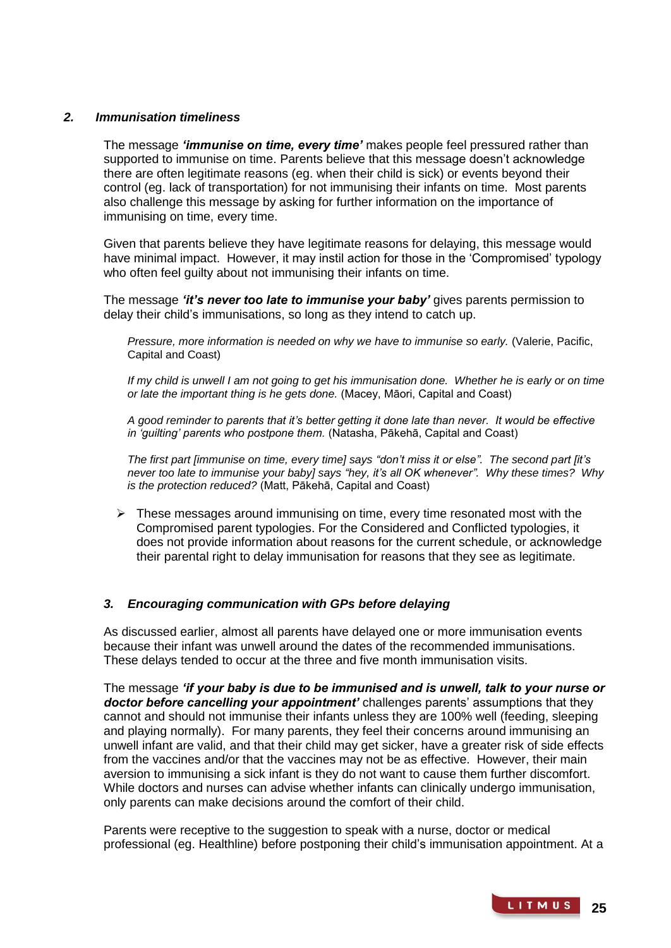## *2. Immunisation timeliness*

The message *'immunise on time, every time'* makes people feel pressured rather than supported to immunise on time. Parents believe that this message doesn't acknowledge there are often legitimate reasons (eg. when their child is sick) or events beyond their control (eg. lack of transportation) for not immunising their infants on time. Most parents also challenge this message by asking for further information on the importance of immunising on time, every time.

Given that parents believe they have legitimate reasons for delaying, this message would have minimal impact. However, it may instil action for those in the 'Compromised' typology who often feel quilty about not immunising their infants on time.

The message *'it's never too late to immunise your baby'* gives parents permission to delay their child's immunisations, so long as they intend to catch up.

*Pressure, more information is needed on why we have to immunise so early.* (Valerie, Pacific, Capital and Coast)

*If my child is unwell I am not going to get his immunisation done. Whether he is early or on time or late the important thing is he gets done.* (Macey, Māori, Capital and Coast)

*A good reminder to parents that it's better getting it done late than never. It would be effective in 'guilting' parents who postpone them.* (Natasha, Pākehā, Capital and Coast)

*The first part [immunise on time, every time] says "don't miss it or else". The second part [it's never too late to immunise your baby] says "hey, it's all OK whenever". Why these times? Why is the protection reduced?* (Matt, Pākehā, Capital and Coast)

 $\triangleright$  These messages around immunising on time, every time resonated most with the Compromised parent typologies. For the Considered and Conflicted typologies, it does not provide information about reasons for the current schedule, or acknowledge their parental right to delay immunisation for reasons that they see as legitimate.

## *3. Encouraging communication with GPs before delaying*

As discussed earlier, almost all parents have delayed one or more immunisation events because their infant was unwell around the dates of the recommended immunisations. These delays tended to occur at the three and five month immunisation visits.

The message *'if your baby is due to be immunised and is unwell, talk to your nurse or doctor before cancelling your appointment'* challenges parents' assumptions that they cannot and should not immunise their infants unless they are 100% well (feeding, sleeping and playing normally). For many parents, they feel their concerns around immunising an unwell infant are valid, and that their child may get sicker, have a greater risk of side effects from the vaccines and/or that the vaccines may not be as effective. However, their main aversion to immunising a sick infant is they do not want to cause them further discomfort. While doctors and nurses can advise whether infants can clinically undergo immunisation, only parents can make decisions around the comfort of their child.

Parents were receptive to the suggestion to speak with a nurse, doctor or medical professional (eg. Healthline) before postponing their child's immunisation appointment. At a

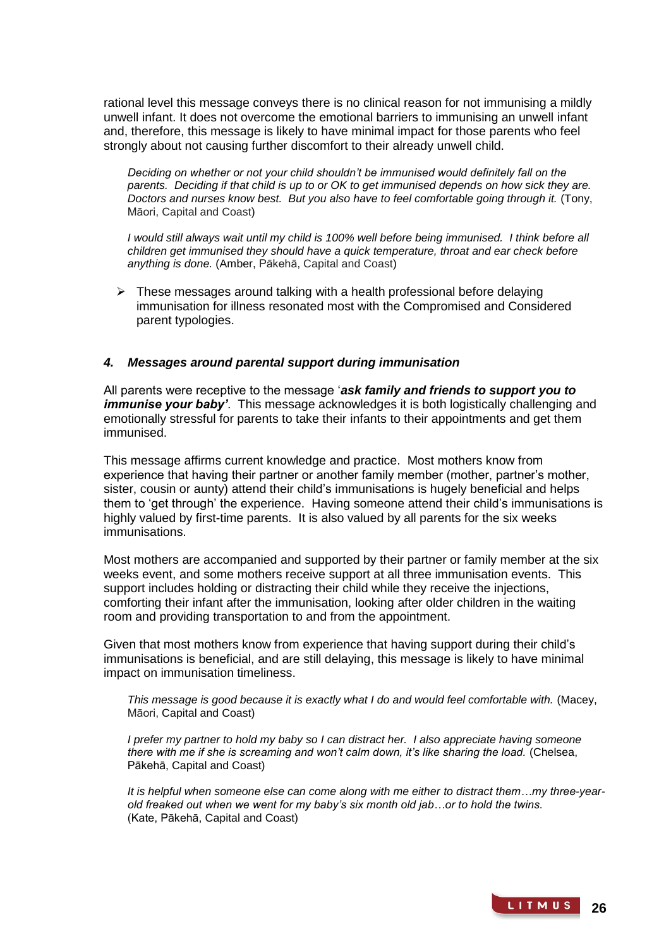rational level this message conveys there is no clinical reason for not immunising a mildly unwell infant. It does not overcome the emotional barriers to immunising an unwell infant and, therefore, this message is likely to have minimal impact for those parents who feel strongly about not causing further discomfort to their already unwell child.

*Deciding on whether or not your child shouldn't be immunised would definitely fall on the parents. Deciding if that child is up to or OK to get immunised depends on how sick they are. Doctors and nurses know best. But you also have to feel comfortable going through it.* (Tony, Māori, Capital and Coast)

*I* would still always wait until my child is 100% well before being immunised. I think before all *children get immunised they should have a quick temperature, throat and ear check before anything is done.* (Amber, Pākehā, Capital and Coast)

 $\triangleright$  These messages around talking with a health professional before delaying immunisation for illness resonated most with the Compromised and Considered parent typologies.

## *4. Messages around parental support during immunisation*

All parents were receptive to the message '*ask family and friends to support you to immunise your baby'*. This message acknowledges it is both logistically challenging and emotionally stressful for parents to take their infants to their appointments and get them immunised.

This message affirms current knowledge and practice. Most mothers know from experience that having their partner or another family member (mother, partner's mother, sister, cousin or aunty) attend their child's immunisations is hugely beneficial and helps them to 'get through' the experience. Having someone attend their child's immunisations is highly valued by first-time parents. It is also valued by all parents for the six weeks immunisations.

Most mothers are accompanied and supported by their partner or family member at the six weeks event, and some mothers receive support at all three immunisation events. This support includes holding or distracting their child while they receive the injections, comforting their infant after the immunisation, looking after older children in the waiting room and providing transportation to and from the appointment.

Given that most mothers know from experience that having support during their child's immunisations is beneficial, and are still delaying, this message is likely to have minimal impact on immunisation timeliness.

*This message is good because it is exactly what I do and would feel comfortable with.* (Macey, Māori, Capital and Coast)

*I* prefer my partner to hold my baby so *I* can distract her. *I* also appreciate having someone *there with me if she is screaming and won't calm down, it's like sharing the load.* (Chelsea, Pākehā, Capital and Coast)

*It is helpful when someone else can come along with me either to distract them…my three-yearold freaked out when we went for my baby's six month old jab…or to hold the twins.*  (Kate, Pākehā, Capital and Coast)

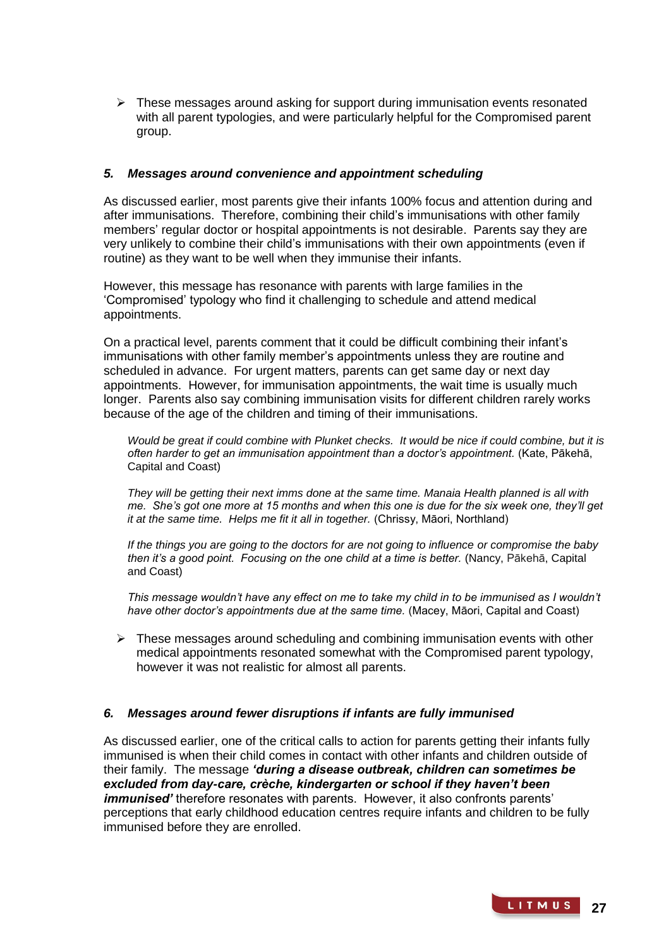$\triangleright$  These messages around asking for support during immunisation events resonated with all parent typologies, and were particularly helpful for the Compromised parent group.

## *5. Messages around convenience and appointment scheduling*

As discussed earlier, most parents give their infants 100% focus and attention during and after immunisations. Therefore, combining their child's immunisations with other family members' regular doctor or hospital appointments is not desirable. Parents say they are very unlikely to combine their child's immunisations with their own appointments (even if routine) as they want to be well when they immunise their infants.

However, this message has resonance with parents with large families in the 'Compromised' typology who find it challenging to schedule and attend medical appointments.

On a practical level, parents comment that it could be difficult combining their infant's immunisations with other family member's appointments unless they are routine and scheduled in advance. For urgent matters, parents can get same day or next day appointments. However, for immunisation appointments, the wait time is usually much longer. Parents also say combining immunisation visits for different children rarely works because of the age of the children and timing of their immunisations.

*Would be great if could combine with Plunket checks. It would be nice if could combine, but it is often harder to get an immunisation appointment than a doctor's appointment.* (Kate, Pākehā, Capital and Coast)

*They will be getting their next imms done at the same time. Manaia Health planned is all with me. She's got one more at 15 months and when this one is due for the six week one, they'll get it at the same time. Helps me fit it all in together.* (Chrissy, Māori, Northland)

*If the things you are going to the doctors for are not going to influence or compromise the baby*  then it's a good point. Focusing on the one child at a time is better. (Nancy, Pākehā, Capital and Coast)

*This message wouldn't have any effect on me to take my child in to be immunised as I wouldn't have other doctor's appointments due at the same time.* (Macey, Māori, Capital and Coast)

 $\triangleright$  These messages around scheduling and combining immunisation events with other medical appointments resonated somewhat with the Compromised parent typology, however it was not realistic for almost all parents.

## *6. Messages around fewer disruptions if infants are fully immunised*

As discussed earlier, one of the critical calls to action for parents getting their infants fully immunised is when their child comes in contact with other infants and children outside of their family. The message *'during a disease outbreak, children can sometimes be excluded from day-care, crèche, kindergarten or school if they haven't been immunised'* therefore resonates with parents. However, it also confronts parents' perceptions that early childhood education centres require infants and children to be fully immunised before they are enrolled.

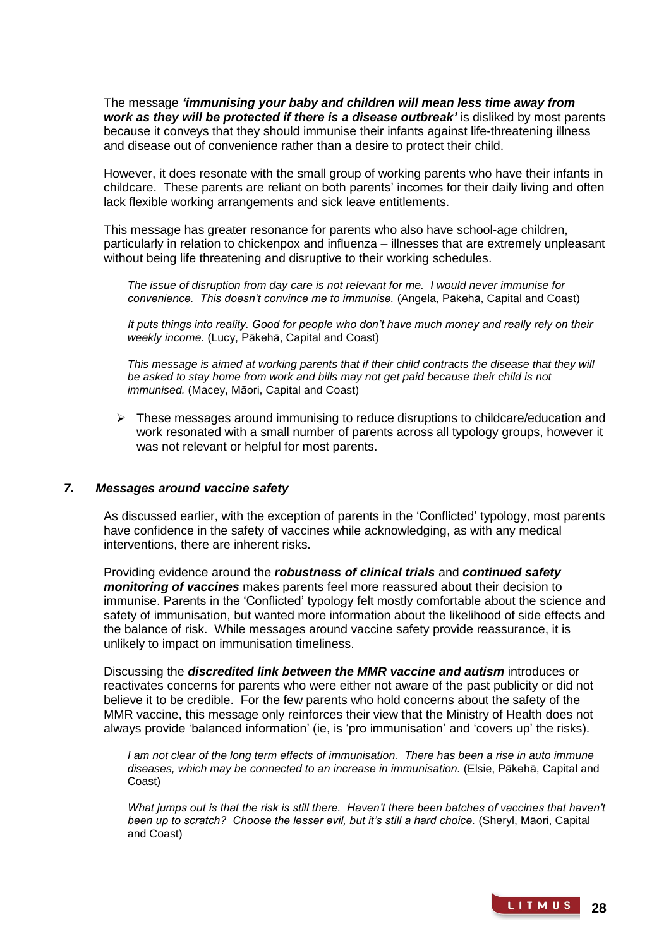The message *'immunising your baby and children will mean less time away from work as they will be protected if there is a disease outbreak'* is disliked by most parents because it conveys that they should immunise their infants against life-threatening illness and disease out of convenience rather than a desire to protect their child.

However, it does resonate with the small group of working parents who have their infants in childcare. These parents are reliant on both parents' incomes for their daily living and often lack flexible working arrangements and sick leave entitlements.

This message has greater resonance for parents who also have school-age children, particularly in relation to chickenpox and influenza – illnesses that are extremely unpleasant without being life threatening and disruptive to their working schedules.

*The issue of disruption from day care is not relevant for me. I would never immunise for convenience. This doesn't convince me to immunise.* (Angela, Pākehā, Capital and Coast)

*It puts things into reality. Good for people who don't have much money and really rely on their weekly income.* (Lucy, Pākehā, Capital and Coast)

This message is aimed at working parents that if their child contracts the disease that they will *be asked to stay home from work and bills may not get paid because their child is not immunised.* (Macey, Māori, Capital and Coast)

 $\triangleright$  These messages around immunising to reduce disruptions to childcare/education and work resonated with a small number of parents across all typology groups, however it was not relevant or helpful for most parents.

## *7. Messages around vaccine safety*

As discussed earlier, with the exception of parents in the 'Conflicted' typology, most parents have confidence in the safety of vaccines while acknowledging, as with any medical interventions, there are inherent risks.

Providing evidence around the *robustness of clinical trials* and *continued safety monitoring of vaccines* makes parents feel more reassured about their decision to immunise. Parents in the 'Conflicted' typology felt mostly comfortable about the science and safety of immunisation, but wanted more information about the likelihood of side effects and the balance of risk. While messages around vaccine safety provide reassurance, it is unlikely to impact on immunisation timeliness.

Discussing the *discredited link between the MMR vaccine and autism* introduces or reactivates concerns for parents who were either not aware of the past publicity or did not believe it to be credible. For the few parents who hold concerns about the safety of the MMR vaccine, this message only reinforces their view that the Ministry of Health does not always provide 'balanced information' (ie, is 'pro immunisation' and 'covers up' the risks).

*I am not clear of the long term effects of immunisation. There has been a rise in auto immune diseases, which may be connected to an increase in immunisation.* (Elsie, Pākehā, Capital and Coast)

*What jumps out is that the risk is still there. Haven't there been batches of vaccines that haven't been up to scratch? Choose the lesser evil, but it's still a hard choice.* (Sheryl, Māori, Capital and Coast)

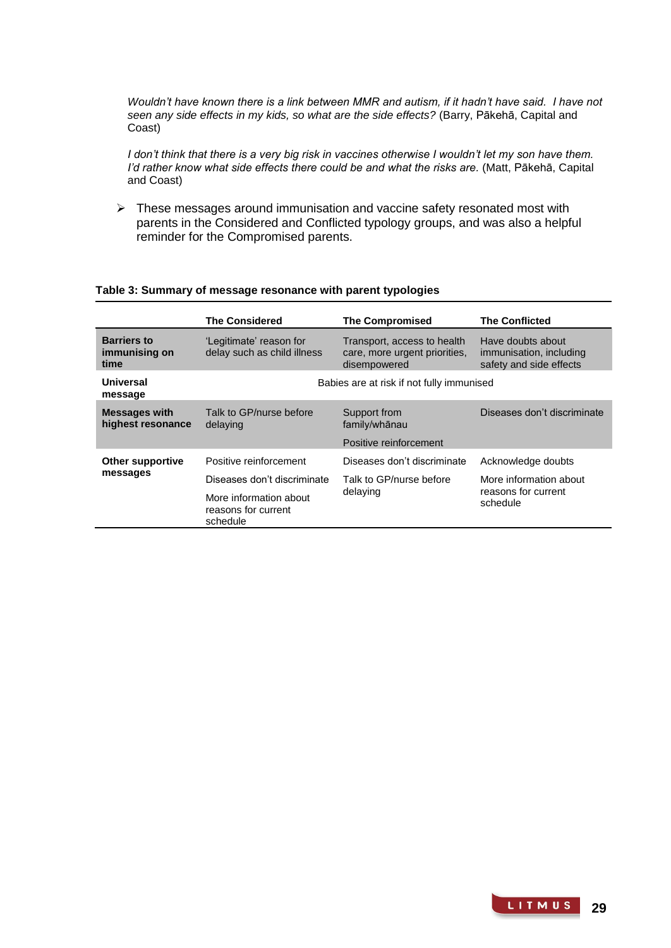*Wouldn't have known there is a link between MMR and autism, if it hadn't have said. I have not seen any side effects in my kids, so what are the side effects?* (Barry, Pākehā, Capital and Coast)

*I don't think that there is a very big risk in vaccines otherwise I wouldn't let my son have them. I'd rather know what side effects there could be and what the risks are.* (Matt, Pākehā, Capital and Coast)

 $\triangleright$  These messages around immunisation and vaccine safety resonated most with parents in the Considered and Conflicted typology groups, and was also a helpful reminder for the Compromised parents.

|                                             | <b>The Considered</b>                                     | <b>The Compromised</b>                                                       | <b>The Conflicted</b>                                                   |
|---------------------------------------------|-----------------------------------------------------------|------------------------------------------------------------------------------|-------------------------------------------------------------------------|
| <b>Barriers to</b><br>immunising on<br>time | 'Legitimate' reason for<br>delay such as child illness    | Transport, access to health<br>care, more urgent priorities,<br>disempowered | Have doubts about<br>immunisation, including<br>safety and side effects |
| Universal<br>message                        | Babies are at risk if not fully immunised                 |                                                                              |                                                                         |
| <b>Messages with</b><br>highest resonance   | Talk to GP/nurse before<br>delaying                       | Support from<br>family/whānau<br>Positive reinforcement                      | Diseases don't discriminate                                             |
| <b>Other supportive</b>                     | Positive reinforcement                                    | Diseases don't discriminate                                                  | Acknowledge doubts                                                      |
| messages                                    | Diseases don't discriminate                               | Talk to GP/nurse before<br>delaying                                          | More information about<br>reasons for current<br>schedule               |
|                                             | More information about<br>reasons for current<br>schedule |                                                                              |                                                                         |

#### **Table 3: Summary of message resonance with parent typologies**

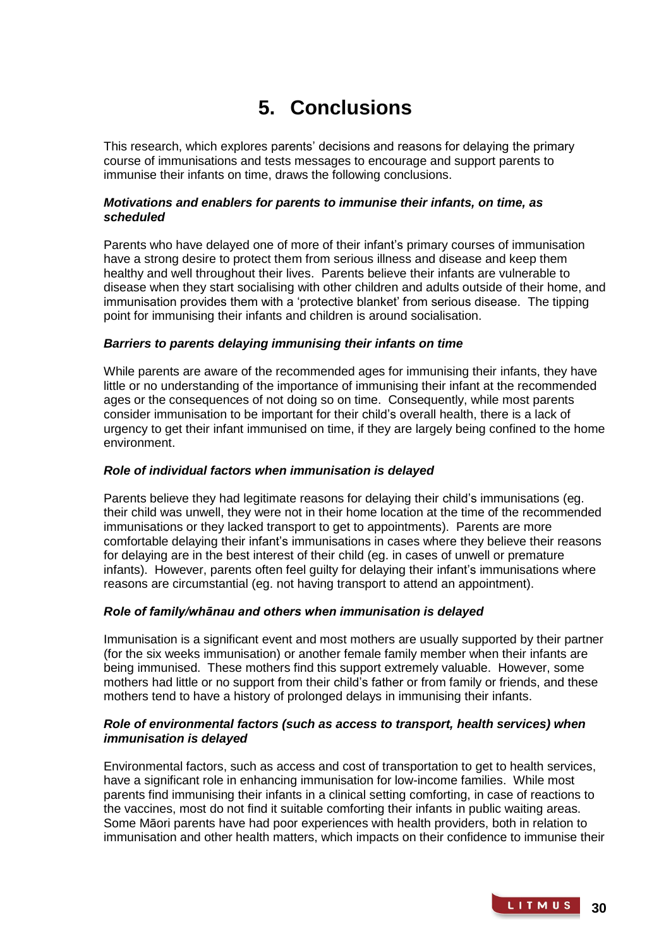# **5. Conclusions**

This research, which explores parents' decisions and reasons for delaying the primary course of immunisations and tests messages to encourage and support parents to immunise their infants on time, draws the following conclusions.

## *Motivations and enablers for parents to immunise their infants, on time, as scheduled*

Parents who have delayed one of more of their infant's primary courses of immunisation have a strong desire to protect them from serious illness and disease and keep them healthy and well throughout their lives. Parents believe their infants are vulnerable to disease when they start socialising with other children and adults outside of their home, and immunisation provides them with a 'protective blanket' from serious disease. The tipping point for immunising their infants and children is around socialisation.

## *Barriers to parents delaying immunising their infants on time*

While parents are aware of the recommended ages for immunising their infants, they have little or no understanding of the importance of immunising their infant at the recommended ages or the consequences of not doing so on time. Consequently, while most parents consider immunisation to be important for their child's overall health, there is a lack of urgency to get their infant immunised on time, if they are largely being confined to the home environment.

## *Role of individual factors when immunisation is delayed*

Parents believe they had legitimate reasons for delaying their child's immunisations (eg. their child was unwell, they were not in their home location at the time of the recommended immunisations or they lacked transport to get to appointments). Parents are more comfortable delaying their infant's immunisations in cases where they believe their reasons for delaying are in the best interest of their child (eg. in cases of unwell or premature infants). However, parents often feel guilty for delaying their infant's immunisations where reasons are circumstantial (eg. not having transport to attend an appointment).

## *Role of family/whānau and others when immunisation is delayed*

Immunisation is a significant event and most mothers are usually supported by their partner (for the six weeks immunisation) or another female family member when their infants are being immunised. These mothers find this support extremely valuable. However, some mothers had little or no support from their child's father or from family or friends, and these mothers tend to have a history of prolonged delays in immunising their infants.

## *Role of environmental factors (such as access to transport, health services) when immunisation is delayed*

Environmental factors, such as access and cost of transportation to get to health services, have a significant role in enhancing immunisation for low-income families. While most parents find immunising their infants in a clinical setting comforting, in case of reactions to the vaccines, most do not find it suitable comforting their infants in public waiting areas. Some Māori parents have had poor experiences with health providers, both in relation to immunisation and other health matters, which impacts on their confidence to immunise their

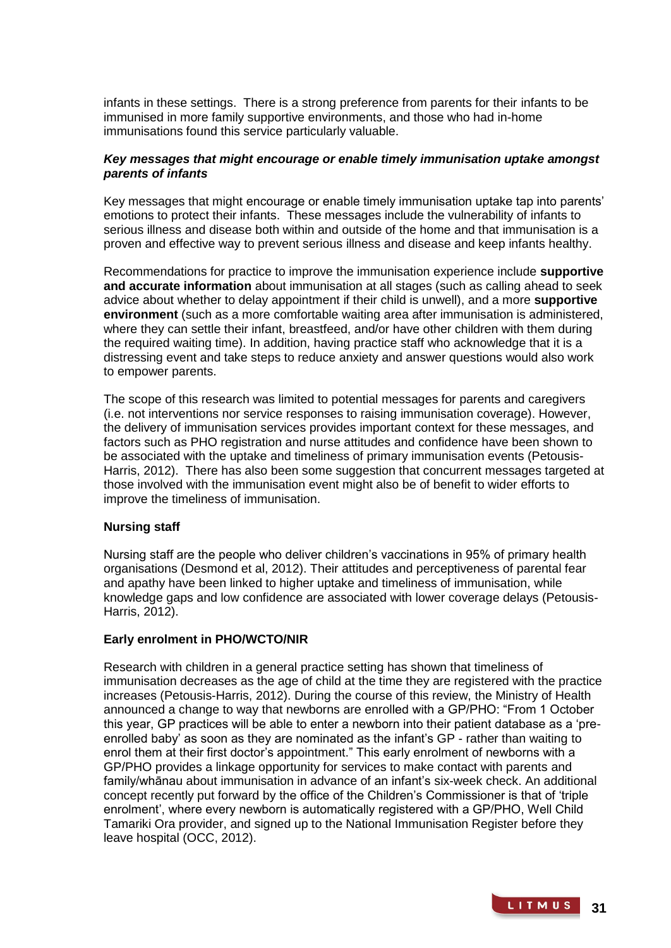infants in these settings. There is a strong preference from parents for their infants to be immunised in more family supportive environments, and those who had in-home immunisations found this service particularly valuable.

## *Key messages that might encourage or enable timely immunisation uptake amongst parents of infants*

Key messages that might encourage or enable timely immunisation uptake tap into parents' emotions to protect their infants. These messages include the vulnerability of infants to serious illness and disease both within and outside of the home and that immunisation is a proven and effective way to prevent serious illness and disease and keep infants healthy.

Recommendations for practice to improve the immunisation experience include **supportive and accurate information** about immunisation at all stages (such as calling ahead to seek advice about whether to delay appointment if their child is unwell), and a more **supportive environment** (such as a more comfortable waiting area after immunisation is administered, where they can settle their infant, breastfeed, and/or have other children with them during the required waiting time). In addition, having practice staff who acknowledge that it is a distressing event and take steps to reduce anxiety and answer questions would also work to empower parents.

The scope of this research was limited to potential messages for parents and caregivers (i.e. not interventions nor service responses to raising immunisation coverage). However, the delivery of immunisation services provides important context for these messages, and factors such as PHO registration and nurse attitudes and confidence have been shown to be associated with the uptake and timeliness of primary immunisation events (Petousis-Harris, 2012). There has also been some suggestion that concurrent messages targeted at those involved with the immunisation event might also be of benefit to wider efforts to improve the timeliness of immunisation.

## **Nursing staff**

Nursing staff are the people who deliver children's vaccinations in 95% of primary health organisations (Desmond et al, 2012). Their attitudes and perceptiveness of parental fear and apathy have been linked to higher uptake and timeliness of immunisation, while knowledge gaps and low confidence are associated with lower coverage delays (Petousis-Harris, 2012).

## **Early enrolment in PHO/WCTO/NIR**

Research with children in a general practice setting has shown that timeliness of immunisation decreases as the age of child at the time they are registered with the practice increases (Petousis-Harris, 2012). During the course of this review, the Ministry of Health announced a change to way that newborns are enrolled with a GP/PHO: "From 1 October this year, GP practices will be able to enter a newborn into their patient database as a 'preenrolled baby' as soon as they are nominated as the infant's GP - rather than waiting to enrol them at their first doctor's appointment." This early enrolment of newborns with a GP/PHO provides a linkage opportunity for services to make contact with parents and family/whānau about immunisation in advance of an infant's six-week check. An additional concept recently put forward by the office of the Children's Commissioner is that of 'triple enrolment', where every newborn is automatically registered with a GP/PHO, Well Child Tamariki Ora provider, and signed up to the National Immunisation Register before they leave hospital (OCC, 2012).

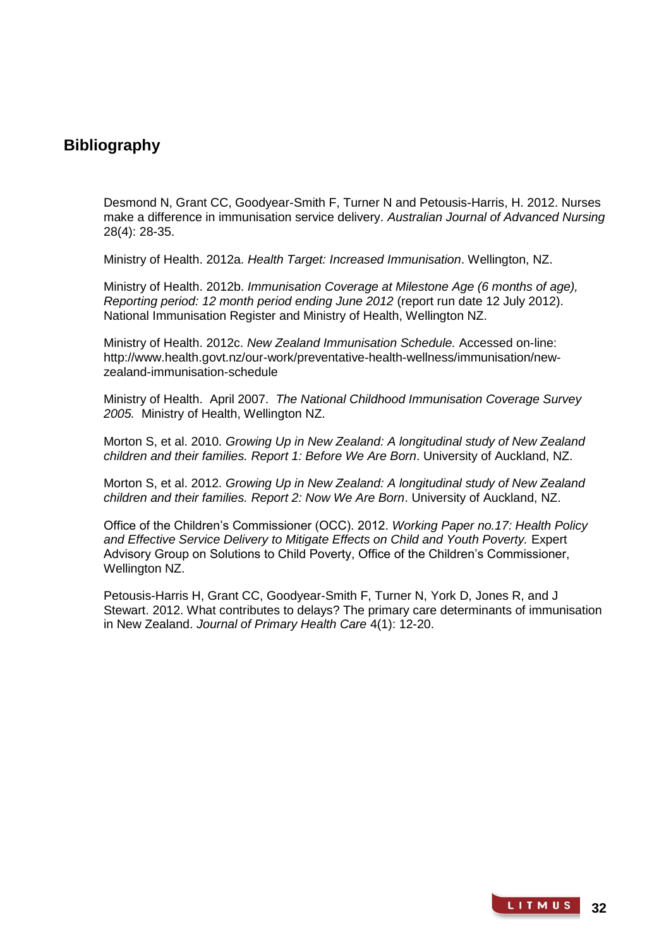## **Bibliography**

Desmond N, Grant CC, Goodyear-Smith F, Turner N and Petousis-Harris, H. 2012. Nurses make a difference in immunisation service delivery. *Australian Journal of Advanced Nursing* 28(4): 28-35.

Ministry of Health. 2012a. *Health Target: Increased Immunisation*. Wellington, NZ.

Ministry of Health. 2012b. *Immunisation Coverage at Milestone Age (6 months of age), Reporting period: 12 month period ending June 2012* (report run date 12 July 2012). National Immunisation Register and Ministry of Health, Wellington NZ.

Ministry of Health. 2012c. *New Zealand Immunisation Schedule.* Accessed on-line: http://www.health.govt.nz/our-work/preventative-health-wellness/immunisation/newzealand-immunisation-schedule

Ministry of Health. April 2007. *The National Childhood Immunisation Coverage Survey 2005.* Ministry of Health, Wellington NZ.

Morton S, et al. 2010. *Growing Up in New Zealand: A longitudinal study of New Zealand children and their families. Report 1: Before We Are Born*. University of Auckland, NZ.

Morton S, et al. 2012. *Growing Up in New Zealand: A longitudinal study of New Zealand children and their families. Report 2: Now We Are Born*. University of Auckland, NZ.

Office of the Children's Commissioner (OCC). 2012. *Working Paper no.17: Health Policy and Effective Service Delivery to Mitigate Effects on Child and Youth Poverty.* Expert Advisory Group on Solutions to Child Poverty, Office of the Children's Commissioner, Wellington NZ.

Petousis-Harris H, Grant CC, Goodyear-Smith F, Turner N, York D, Jones R, and J Stewart. 2012. What contributes to delays? The primary care determinants of immunisation in New Zealand. *Journal of Primary Health Care* 4(1): 12-20.

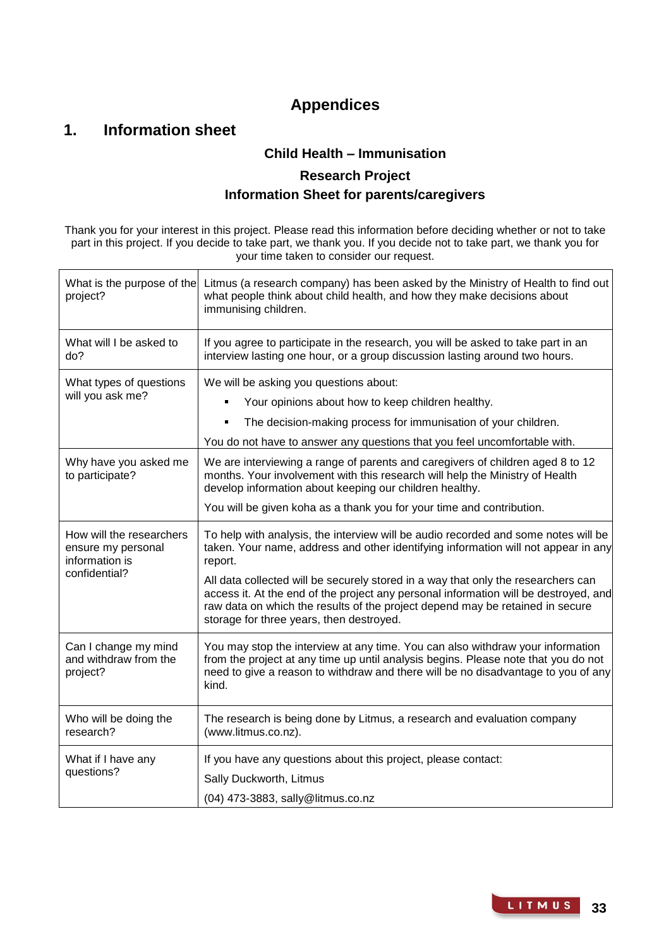# **Appendices**

# **1. Information sheet**

## **Child Health – Immunisation**

## **Research Project Information Sheet for parents/caregivers**

Thank you for your interest in this project. Please read this information before deciding whether or not to take part in this project. If you decide to take part, we thank you. If you decide not to take part, we thank you for your time taken to consider our request.

| What is the purpose of the<br>project?                                            | Litmus (a research company) has been asked by the Ministry of Health to find out<br>what people think about child health, and how they make decisions about<br>immunising children.                                                                                                                                                                                                                                                                                                           |  |  |
|-----------------------------------------------------------------------------------|-----------------------------------------------------------------------------------------------------------------------------------------------------------------------------------------------------------------------------------------------------------------------------------------------------------------------------------------------------------------------------------------------------------------------------------------------------------------------------------------------|--|--|
| What will I be asked to<br>do?                                                    | If you agree to participate in the research, you will be asked to take part in an<br>interview lasting one hour, or a group discussion lasting around two hours.                                                                                                                                                                                                                                                                                                                              |  |  |
| What types of questions<br>will you ask me?                                       | We will be asking you questions about:<br>Your opinions about how to keep children healthy.<br>The decision-making process for immunisation of your children.<br>You do not have to answer any questions that you feel uncomfortable with.                                                                                                                                                                                                                                                    |  |  |
| Why have you asked me<br>to participate?                                          | We are interviewing a range of parents and caregivers of children aged 8 to 12<br>months. Your involvement with this research will help the Ministry of Health<br>develop information about keeping our children healthy.<br>You will be given koha as a thank you for your time and contribution.                                                                                                                                                                                            |  |  |
| How will the researchers<br>ensure my personal<br>information is<br>confidential? | To help with analysis, the interview will be audio recorded and some notes will be<br>taken. Your name, address and other identifying information will not appear in any<br>report.<br>All data collected will be securely stored in a way that only the researchers can<br>access it. At the end of the project any personal information will be destroyed, and<br>raw data on which the results of the project depend may be retained in secure<br>storage for three years, then destroyed. |  |  |
| Can I change my mind<br>and withdraw from the<br>project?                         | You may stop the interview at any time. You can also withdraw your information<br>from the project at any time up until analysis begins. Please note that you do not<br>need to give a reason to withdraw and there will be no disadvantage to you of any<br>kind.                                                                                                                                                                                                                            |  |  |
| Who will be doing the<br>research?                                                | The research is being done by Litmus, a research and evaluation company<br>(www.litmus.co.nz).                                                                                                                                                                                                                                                                                                                                                                                                |  |  |
| What if I have any<br>questions?                                                  | If you have any questions about this project, please contact:<br>Sally Duckworth, Litmus<br>(04) 473-3883, sally@litmus.co.nz                                                                                                                                                                                                                                                                                                                                                                 |  |  |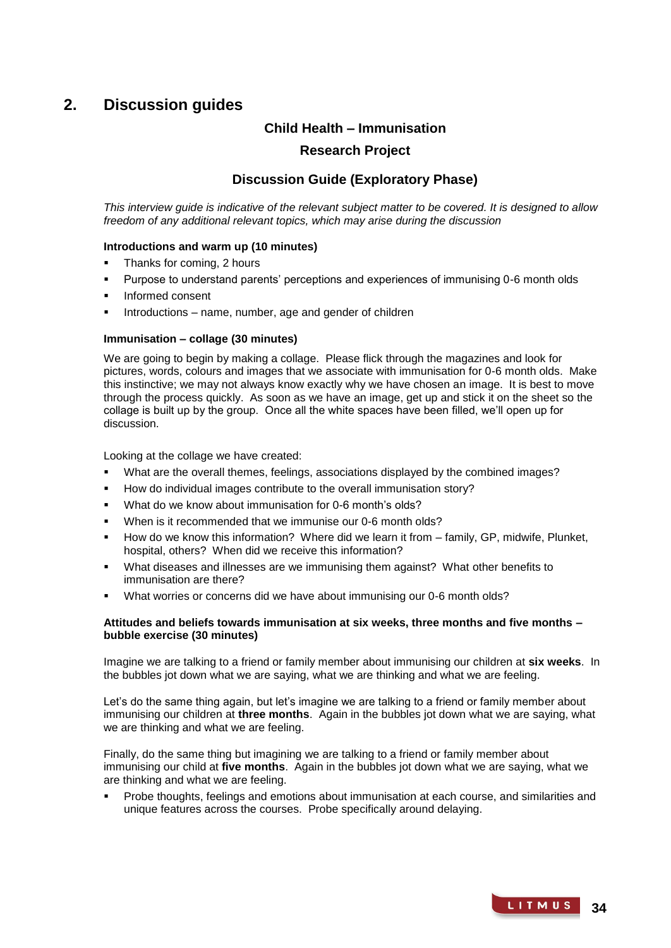## **2. Discussion guides**

## **Child Health – Immunisation**

## **Research Project**

## **Discussion Guide (Exploratory Phase)**

*This interview guide is indicative of the relevant subject matter to be covered. It is designed to allow freedom of any additional relevant topics, which may arise during the discussion* 

#### **Introductions and warm up (10 minutes)**

- Thanks for coming, 2 hours
- Purpose to understand parents' perceptions and experiences of immunising 0-6 month olds
- Informed consent
- Introductions name, number, age and gender of children

#### **Immunisation – collage (30 minutes)**

We are going to begin by making a collage. Please flick through the magazines and look for pictures, words, colours and images that we associate with immunisation for 0-6 month olds. Make this instinctive; we may not always know exactly why we have chosen an image. It is best to move through the process quickly. As soon as we have an image, get up and stick it on the sheet so the collage is built up by the group. Once all the white spaces have been filled, we'll open up for discussion.

Looking at the collage we have created:

- What are the overall themes, feelings, associations displayed by the combined images?
- How do individual images contribute to the overall immunisation story?
- What do we know about immunisation for 0-6 month's olds?
- When is it recommended that we immunise our 0-6 month olds?
- How do we know this information? Where did we learn it from family, GP, midwife, Plunket, hospital, others? When did we receive this information?
- What diseases and illnesses are we immunising them against? What other benefits to immunisation are there?
- What worries or concerns did we have about immunising our 0-6 month olds?

#### **Attitudes and beliefs towards immunisation at six weeks, three months and five months – bubble exercise (30 minutes)**

Imagine we are talking to a friend or family member about immunising our children at **six weeks**. In the bubbles jot down what we are saying, what we are thinking and what we are feeling.

Let's do the same thing again, but let's imagine we are talking to a friend or family member about immunising our children at **three months**. Again in the bubbles jot down what we are saying, what we are thinking and what we are feeling.

Finally, do the same thing but imagining we are talking to a friend or family member about immunising our child at **five months**. Again in the bubbles jot down what we are saying, what we are thinking and what we are feeling.

 Probe thoughts, feelings and emotions about immunisation at each course, and similarities and unique features across the courses. Probe specifically around delaying.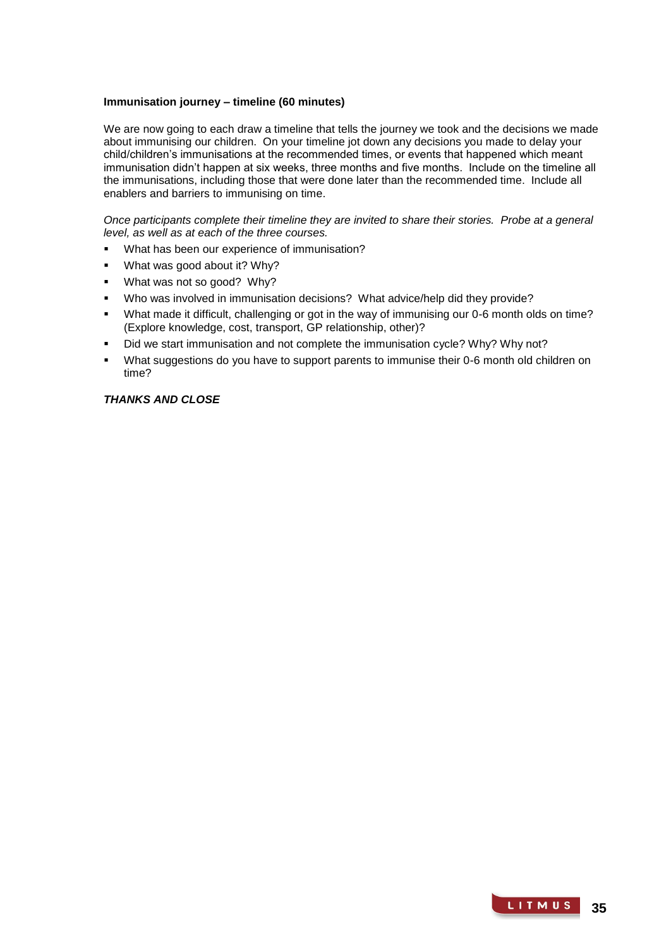#### **Immunisation journey – timeline (60 minutes)**

We are now going to each draw a timeline that tells the journey we took and the decisions we made about immunising our children. On your timeline jot down any decisions you made to delay your child/children's immunisations at the recommended times, or events that happened which meant immunisation didn't happen at six weeks, three months and five months. Include on the timeline all the immunisations, including those that were done later than the recommended time. Include all enablers and barriers to immunising on time.

*Once participants complete their timeline they are invited to share their stories. Probe at a general level, as well as at each of the three courses.* 

- What has been our experience of immunisation?
- What was good about it? Why?
- What was not so good? Why?
- Who was involved in immunisation decisions? What advice/help did they provide?
- What made it difficult, challenging or got in the way of immunising our 0-6 month olds on time? (Explore knowledge, cost, transport, GP relationship, other)?
- Did we start immunisation and not complete the immunisation cycle? Why? Why not?
- What suggestions do you have to support parents to immunise their 0-6 month old children on time?

#### *THANKS AND CLOSE*

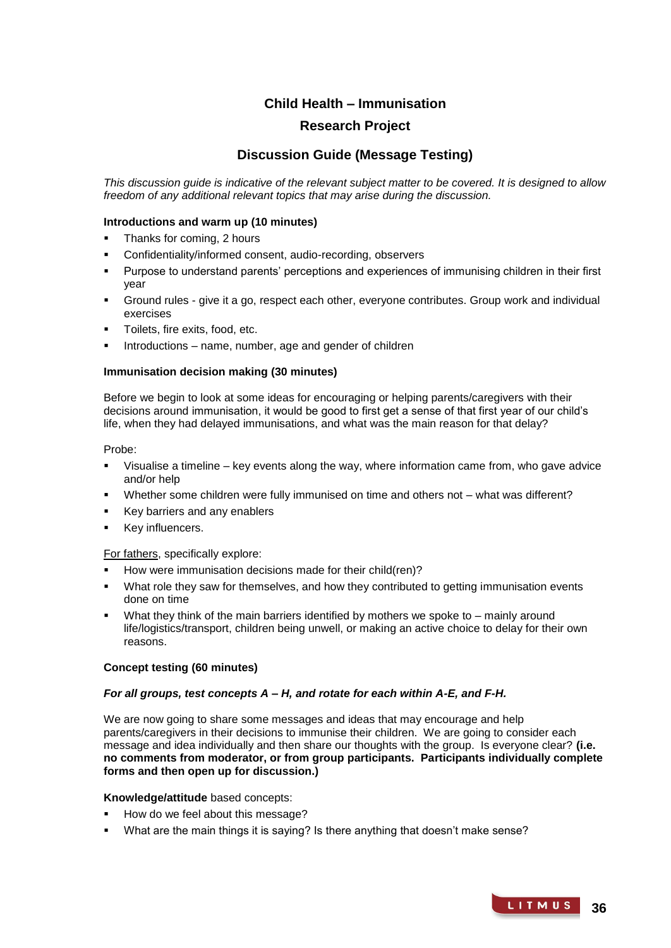## **Child Health – Immunisation**

## **Research Project**

## **Discussion Guide (Message Testing)**

*This discussion guide is indicative of the relevant subject matter to be covered. It is designed to allow freedom of any additional relevant topics that may arise during the discussion.* 

#### **Introductions and warm up (10 minutes)**

- Thanks for coming, 2 hours
- Confidentiality/informed consent, audio-recording, observers
- Purpose to understand parents' perceptions and experiences of immunising children in their first year
- Ground rules give it a go, respect each other, everyone contributes. Group work and individual exercises
- Toilets, fire exits, food, etc.
- Introductions name, number, age and gender of children

#### **Immunisation decision making (30 minutes)**

Before we begin to look at some ideas for encouraging or helping parents/caregivers with their decisions around immunisation, it would be good to first get a sense of that first year of our child's life, when they had delayed immunisations, and what was the main reason for that delay?

#### Probe:

- Visualise a timeline key events along the way, where information came from, who gave advice and/or help
- Whether some children were fully immunised on time and others not what was different?
- Key barriers and any enablers
- Key influencers.

#### For fathers, specifically explore:

- How were immunisation decisions made for their child(ren)?
- What role they saw for themselves, and how they contributed to getting immunisation events done on time
- What they think of the main barriers identified by mothers we spoke to mainly around life/logistics/transport, children being unwell, or making an active choice to delay for their own reasons.

## **Concept testing (60 minutes)**

#### *For all groups, test concepts A – H, and rotate for each within A-E, and F-H.*

We are now going to share some messages and ideas that may encourage and help parents/caregivers in their decisions to immunise their children. We are going to consider each message and idea individually and then share our thoughts with the group. Is everyone clear? **(i.e. no comments from moderator, or from group participants. Participants individually complete forms and then open up for discussion.)**

#### **Knowledge/attitude** based concepts:

- How do we feel about this message?
- What are the main things it is saying? Is there anything that doesn't make sense?